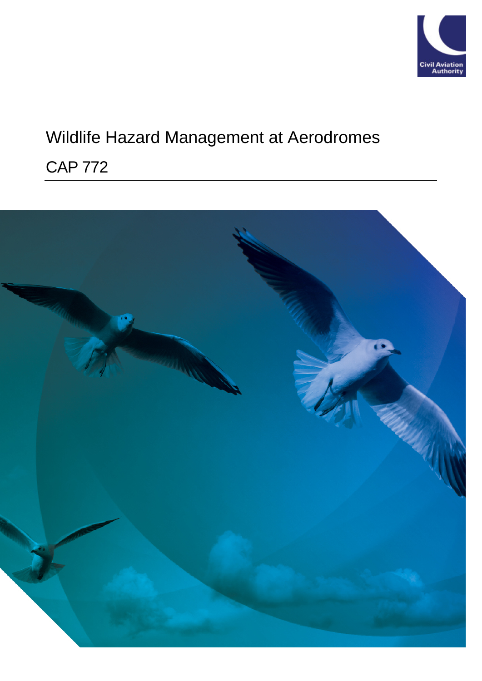

# Wildlife Hazard Management at Aerodromes

# CAP 772

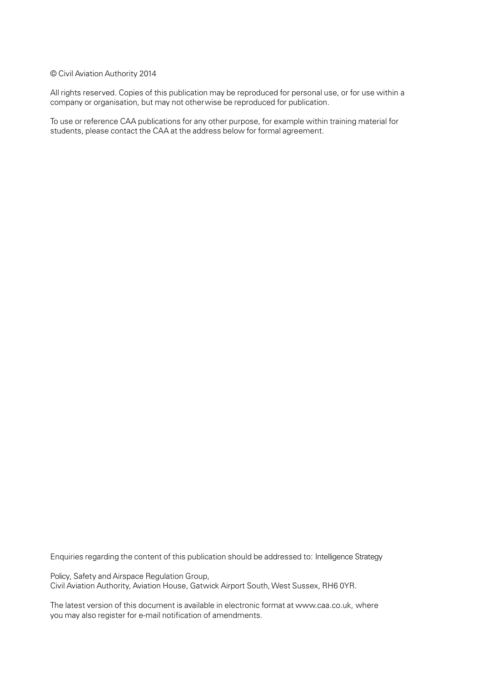#### © Civil Aviation Authority 2014

All rights reserved. Copies of this publication may be reproduced for personal use, or for use within a company or organisation, but may not otherwise be reproduced for publication.

To use or reference CAA publications for any other purpose, for example within training material for students, please contact the CAA at the address below for formal agreement.

Enquiries regarding the content of this publication should be addressed to: Intelligence Strategy

Policy, Safety and Airspace Regulation Group, Civil Aviation Authority, Aviation House, Gatwick Airport South, West Sussex, RH6 0YR.

The latest version of this document is available in electronic format at [www.caa.co.uk,](http://www.caa.co.uk/) where you may also register for e-mail notification of amendments.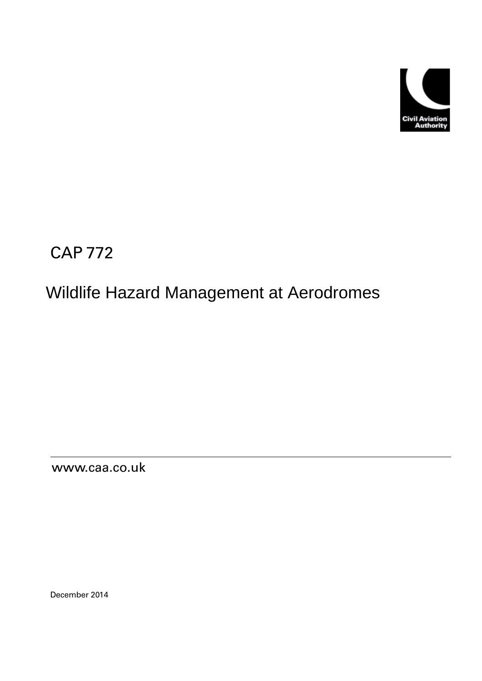

CAP 772

# Wildlife Hazard Management at Aerodromes

[www.caa.co.uk](http://www.caa.co.uk/)

December 2014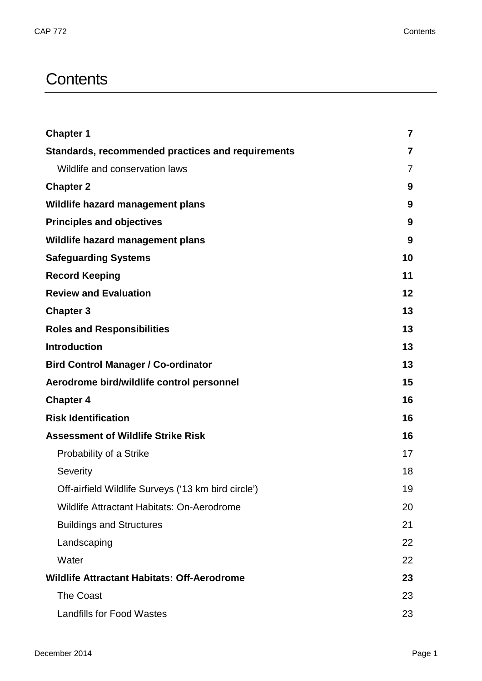# **Contents**

| <b>Chapter 1</b>                                    | $\overline{7}$ |
|-----------------------------------------------------|----------------|
| Standards, recommended practices and requirements   | 7              |
| Wildlife and conservation laws                      | 7              |
| <b>Chapter 2</b>                                    | 9              |
| Wildlife hazard management plans                    | 9              |
| <b>Principles and objectives</b>                    | 9              |
| Wildlife hazard management plans                    | 9              |
| <b>Safeguarding Systems</b>                         | 10             |
| <b>Record Keeping</b>                               | 11             |
| <b>Review and Evaluation</b>                        | 12             |
| <b>Chapter 3</b>                                    | 13             |
| <b>Roles and Responsibilities</b>                   | 13             |
| <b>Introduction</b>                                 | 13             |
| <b>Bird Control Manager / Co-ordinator</b>          | 13             |
| Aerodrome bird/wildlife control personnel           | 15             |
| <b>Chapter 4</b>                                    | 16             |
| <b>Risk Identification</b>                          | 16             |
| <b>Assessment of Wildlife Strike Risk</b>           | 16             |
| Probability of a Strike                             | 17             |
| Severity                                            | 18             |
| Off-airfield Wildlife Surveys ('13 km bird circle') | 19             |
| Wildlife Attractant Habitats: On-Aerodrome          | 20             |
| <b>Buildings and Structures</b>                     | 21             |
| Landscaping                                         | 22             |
| Water                                               | 22             |
| <b>Wildlife Attractant Habitats: Off-Aerodrome</b>  | 23             |
| <b>The Coast</b>                                    | 23             |
| <b>Landfills for Food Wastes</b>                    | 23             |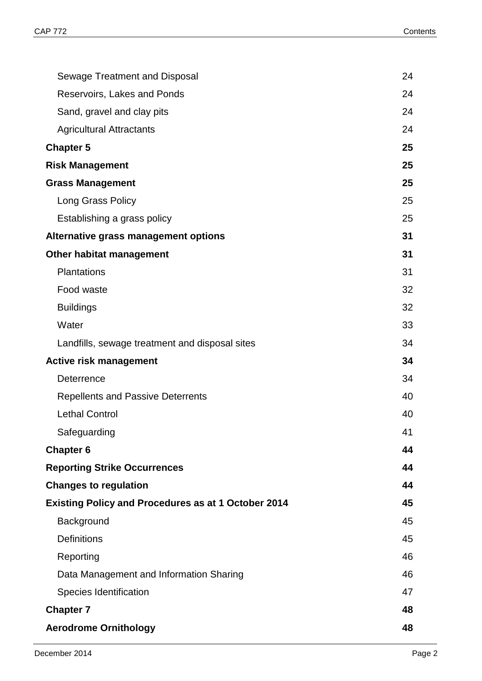| Sewage Treatment and Disposal                              | 24 |
|------------------------------------------------------------|----|
| Reservoirs, Lakes and Ponds                                | 24 |
| Sand, gravel and clay pits                                 | 24 |
| <b>Agricultural Attractants</b>                            | 24 |
| <b>Chapter 5</b>                                           | 25 |
| <b>Risk Management</b>                                     | 25 |
| <b>Grass Management</b>                                    | 25 |
| Long Grass Policy                                          | 25 |
| Establishing a grass policy                                | 25 |
| Alternative grass management options                       | 31 |
| <b>Other habitat management</b>                            | 31 |
| <b>Plantations</b>                                         | 31 |
| Food waste                                                 | 32 |
| <b>Buildings</b>                                           | 32 |
| Water                                                      | 33 |
| Landfills, sewage treatment and disposal sites             | 34 |
| <b>Active risk management</b>                              | 34 |
| Deterrence                                                 | 34 |
| <b>Repellents and Passive Deterrents</b>                   | 40 |
| <b>Lethal Control</b>                                      | 40 |
| Safeguarding                                               | 41 |
| <b>Chapter 6</b>                                           | 44 |
| <b>Reporting Strike Occurrences</b>                        | 44 |
| <b>Changes to regulation</b>                               | 44 |
| <b>Existing Policy and Procedures as at 1 October 2014</b> | 45 |
| Background                                                 | 45 |
| <b>Definitions</b>                                         | 45 |
| Reporting                                                  | 46 |
| Data Management and Information Sharing                    | 46 |
| Species Identification                                     | 47 |
| <b>Chapter 7</b>                                           | 48 |
| <b>Aerodrome Ornithology</b>                               | 48 |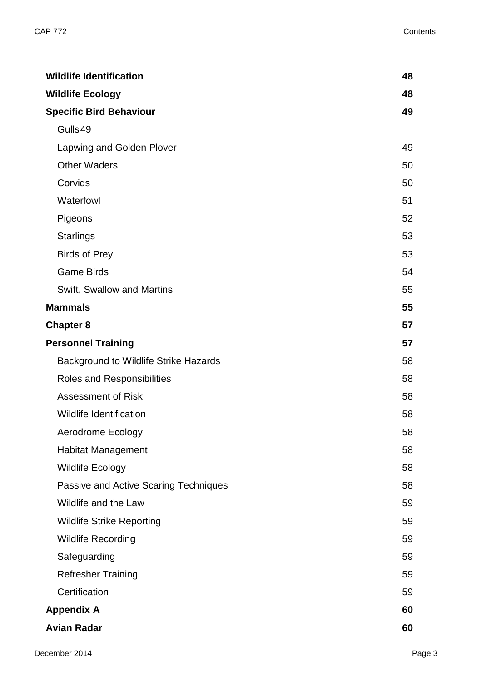| <b>Wildlife Identification</b>               | 48 |
|----------------------------------------------|----|
| <b>Wildlife Ecology</b>                      | 48 |
| <b>Specific Bird Behaviour</b>               | 49 |
| Gulls49                                      |    |
| Lapwing and Golden Plover                    | 49 |
| <b>Other Waders</b>                          | 50 |
| Corvids                                      | 50 |
| Waterfowl                                    | 51 |
| Pigeons                                      | 52 |
| <b>Starlings</b>                             | 53 |
| <b>Birds of Prey</b>                         | 53 |
| <b>Game Birds</b>                            | 54 |
| Swift, Swallow and Martins                   | 55 |
| <b>Mammals</b>                               | 55 |
| <b>Chapter 8</b>                             | 57 |
| <b>Personnel Training</b>                    | 57 |
| <b>Background to Wildlife Strike Hazards</b> | 58 |
| Roles and Responsibilities                   | 58 |
| <b>Assessment of Risk</b>                    | 58 |
| <b>Wildlife Identification</b>               | 58 |
| <b>Aerodrome Ecology</b>                     | 58 |
| <b>Habitat Management</b>                    | 58 |
| <b>Wildlife Ecology</b>                      | 58 |
| Passive and Active Scaring Techniques        | 58 |
| Wildlife and the Law                         | 59 |
| <b>Wildlife Strike Reporting</b>             | 59 |
| <b>Wildlife Recording</b>                    | 59 |
| Safeguarding                                 | 59 |
| <b>Refresher Training</b>                    | 59 |
| Certification                                | 59 |
| <b>Appendix A</b>                            | 60 |
| <b>Avian Radar</b>                           | 60 |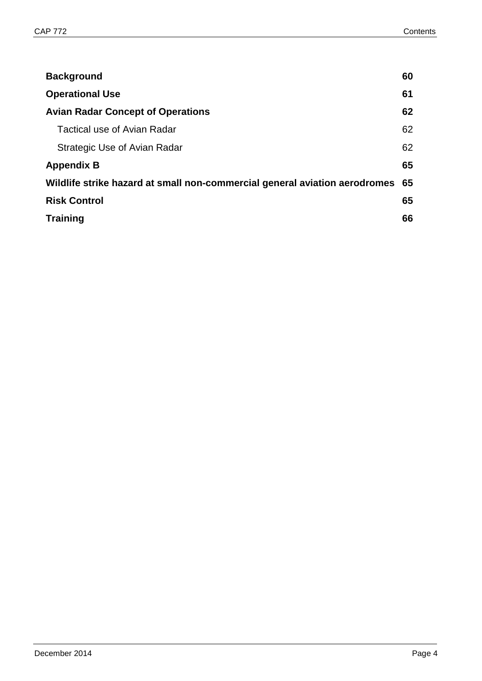| <b>Background</b>                                                          | 60 |
|----------------------------------------------------------------------------|----|
| <b>Operational Use</b>                                                     | 61 |
| <b>Avian Radar Concept of Operations</b>                                   | 62 |
| Tactical use of Avian Radar                                                | 62 |
| Strategic Use of Avian Radar                                               | 62 |
| <b>Appendix B</b>                                                          | 65 |
| Wildlife strike hazard at small non-commercial general aviation aerodromes | 65 |
| <b>Risk Control</b>                                                        | 65 |
| <b>Training</b>                                                            | 66 |
|                                                                            |    |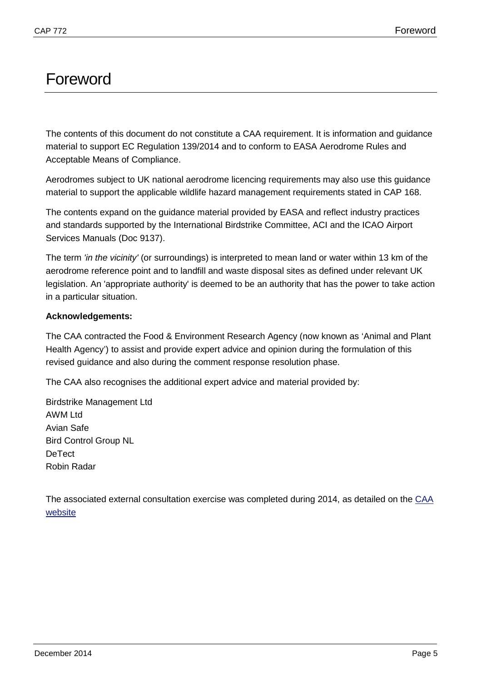# Foreword

The contents of this document do not constitute a CAA requirement. It is information and guidance material to support EC Regulation 139/2014 and to conform to EASA Aerodrome Rules and Acceptable Means of Compliance.

Aerodromes subject to UK national aerodrome licencing requirements may also use this guidance material to support the applicable wildlife hazard management requirements stated in CAP 168.

The contents expand on the guidance material provided by EASA and reflect industry practices and standards supported by the International Birdstrike Committee, ACI and the ICAO Airport Services Manuals (Doc 9137).

The term *'in the vicinity'* (or surroundings) is interpreted to mean land or water within 13 km of the aerodrome reference point and to landfill and waste disposal sites as defined under relevant UK legislation. An 'appropriate authority' is deemed to be an authority that has the power to take action in a particular situation.

#### **Acknowledgements:**

The CAA contracted the Food & Environment Research Agency (now known as 'Animal and Plant Health Agency') to assist and provide expert advice and opinion during the formulation of this revised guidance and also during the comment response resolution phase.

The CAA also recognises the additional expert advice and material provided by:

Birdstrike Management Ltd AWM Ltd Avian Safe Bird Control Group NL **DeTect** Robin Radar

The associated external consultation exercise was completed during 2014, as detailed on the [CAA](http://www.caa.co.uk/docs/2660/20140814CRD.pdf)  [website](http://www.caa.co.uk/docs/2660/20140814CRD.pdf)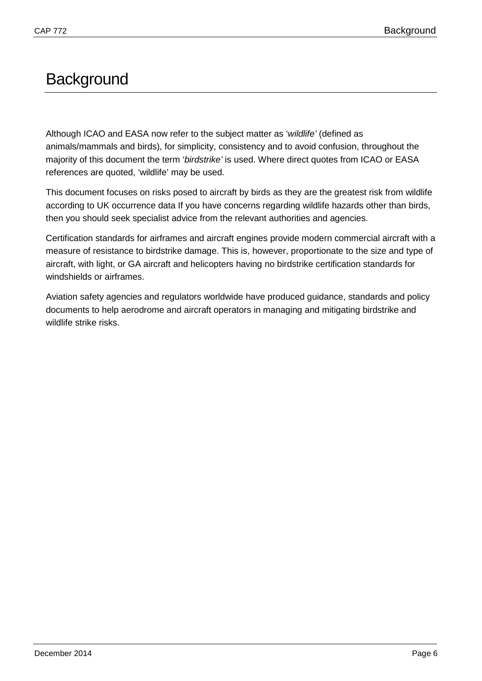# **Background**

Although ICAO and EASA now refer to the subject matter as '*wildlife'* (defined as animals/mammals and birds), for simplicity, consistency and to avoid confusion, throughout the majority of this document the term '*birdstrike'* is used. Where direct quotes from ICAO or EASA references are quoted, 'wildlife' may be used.

This document focuses on risks posed to aircraft by birds as they are the greatest risk from wildlife according to UK occurrence data If you have concerns regarding wildlife hazards other than birds, then you should seek specialist advice from the relevant authorities and agencies.

Certification standards for airframes and aircraft engines provide modern commercial aircraft with a measure of resistance to birdstrike damage. This is, however, proportionate to the size and type of aircraft, with light, or GA aircraft and helicopters having no birdstrike certification standards for windshields or airframes.

Aviation safety agencies and regulators worldwide have produced guidance, standards and policy documents to help aerodrome and aircraft operators in managing and mitigating birdstrike and wildlife strike risks.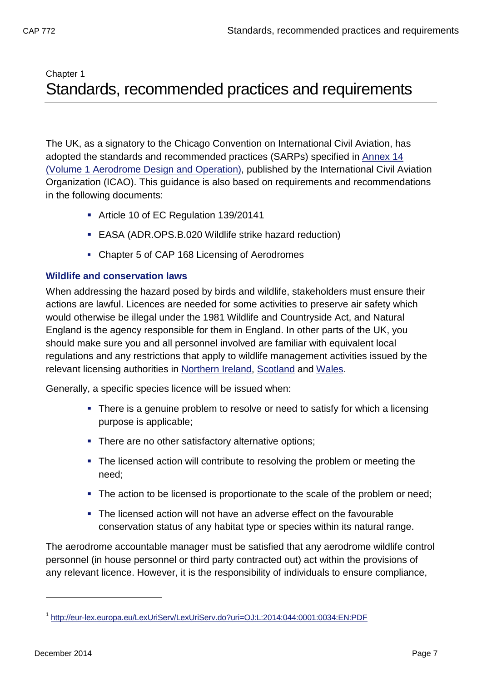# <span id="page-9-1"></span><span id="page-9-0"></span>Chapter 1 Standards, recommended practices and requirements

The UK, as a signatory to the Chicago Convention on International Civil Aviation, has adopted the standards and recommended practices (SARPs) specified in Annex 14 (Volume 1 Aerodrome Design and Operation), published by the International Civil Aviation Organization (ICAO). This guidance is also based on requirements and recommendations in the following documents:

- Article [1](#page-9-3)0 of EC Regulation 139/20141
- EASA (ADR.OPS.B.020 Wildlife strike hazard reduction)
- Chapter 5 of CAP 168 Licensing of Aerodromes

## <span id="page-9-2"></span>**Wildlife and conservation laws**

When addressing the hazard posed by birds and wildlife, stakeholders must ensure their actions are lawful. Licences are needed for some activities to preserve air safety which would otherwise be illegal under the 1981 Wildlife and Countryside Act, and Natural England is the agency responsible for them in England. In other parts of the UK, you should make sure you and all personnel involved are familiar with equivalent local regulations and any restrictions that apply to wildlife management activities issued by the relevant licensing authorities in Northern Ireland, Scotland and Wales.

Generally, a specific species licence will be issued when:

- There is a genuine problem to resolve or need to satisfy for which a licensing purpose is applicable;
- **There are no other satisfactory alternative options;**
- The licensed action will contribute to resolving the problem or meeting the need;
- The action to be licensed is proportionate to the scale of the problem or need:
- The licensed action will not have an adverse effect on the favourable conservation status of any habitat type or species within its natural range.

The aerodrome accountable manager must be satisfied that any aerodrome wildlife control personnel (in house personnel or third party contracted out) act within the provisions of any relevant licence. However, it is the responsibility of individuals to ensure compliance,

<span id="page-9-3"></span><sup>1&</sup>lt;br><http://eur-lex.europa.eu/LexUriServ/LexUriServ.do?uri=OJ:L:2014:044:0001:0034:EN:PDF>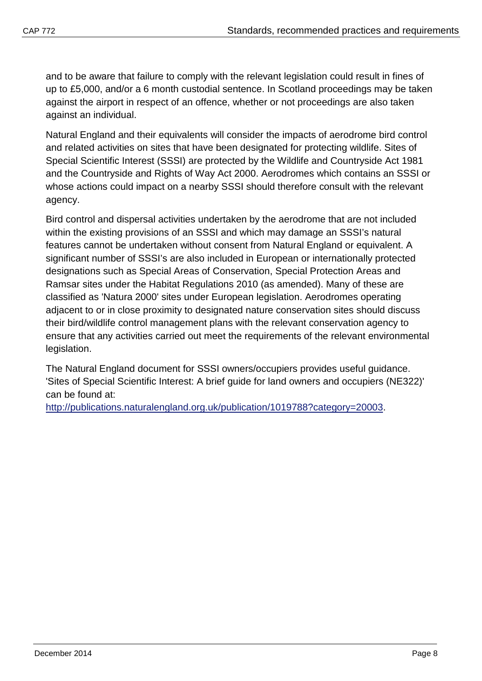and to be aware that failure to comply with the relevant legislation could result in fines of up to £5,000, and/or a 6 month custodial sentence. In Scotland proceedings may be taken against the airport in respect of an offence, whether or not proceedings are also taken against an individual.

Natural England and their equivalents will consider the impacts of aerodrome bird control and related activities on sites that have been designated for protecting wildlife. Sites of Special Scientific Interest (SSSI) are protected by the Wildlife and Countryside Act 1981 and the Countryside and Rights of Way Act 2000. Aerodromes which contains an SSSI or whose actions could impact on a nearby SSSI should therefore consult with the relevant agency.

Bird control and dispersal activities undertaken by the aerodrome that are not included within the existing provisions of an SSSI and which may damage an SSSI's natural features cannot be undertaken without consent from Natural England or equivalent. A significant number of SSSI's are also included in European or internationally protected designations such as Special Areas of Conservation, Special Protection Areas and Ramsar sites under the Habitat Regulations 2010 (as amended). Many of these are classified as 'Natura 2000' sites under European legislation. Aerodromes operating adjacent to or in close proximity to designated nature conservation sites should discuss their bird/wildlife control management plans with the relevant conservation agency to ensure that any activities carried out meet the requirements of the relevant environmental legislation.

The Natural England document for SSSI owners/occupiers provides useful guidance. 'Sites of Special Scientific Interest: A brief guide for land owners and occupiers (NE322)' can be found at:

[http://publications.naturalengland.org.uk/publication/1019788?category=20003.](http://publications.naturalengland.org.uk/publication/1019788?category=20003)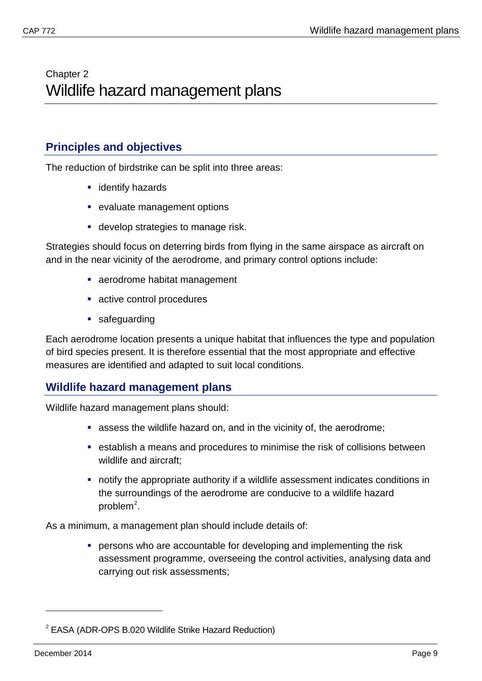# <span id="page-11-1"></span><span id="page-11-0"></span>Chapter 2 Wildlife hazard management plans

## <span id="page-11-2"></span>**Principles and objectives**

The reduction of birdstrike can be split into three areas:

- **identify hazards**
- **Example 2** evaluate management options
- **develop strategies to manage risk.**

Strategies should focus on deterring birds from flying in the same airspace as aircraft on and in the near vicinity of the aerodrome, and primary control options include:

- aerodrome habitat management
- **active control procedures**
- **safeguarding**

Each aerodrome location presents a unique habitat that influences the type and population of bird species present. It is therefore essential that the most appropriate and effective measures are identified and adapted to suit local conditions.

## <span id="page-11-3"></span>**Wildlife hazard management plans**

Wildlife hazard management plans should:

- assess the wildlife hazard on, and in the vicinity of, the aerodrome;
- establish a means and procedures to minimise the risk of collisions between wildlife and aircraft;
- notify the appropriate authority if a wildlife assessment indicates conditions in the surroundings of the aerodrome are conducive to a wildlife hazard problem<sup>[2](#page-11-4)</sup>.

As a minimum, a management plan should include details of:

**PERSONS who are accountable for developing and implementing the risk** assessment programme, overseeing the control activities, analysing data and carrying out risk assessments;

<span id="page-11-4"></span><sup>&</sup>lt;sup>2</sup> EASA (ADR-OPS B.020 Wildlife Strike Hazard Reduction)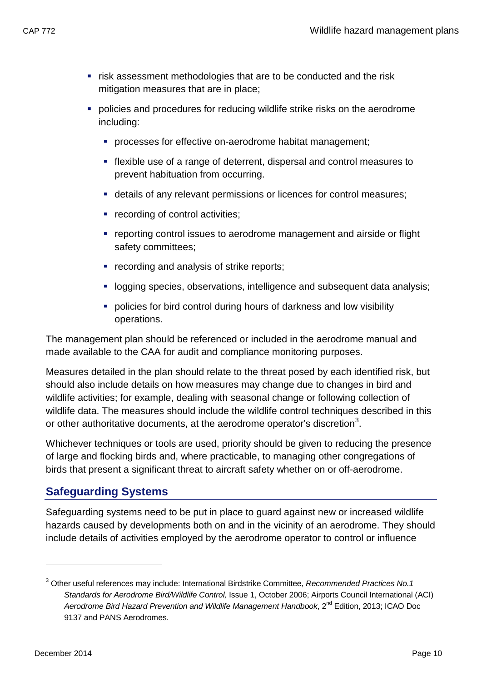- **F** risk assessment methodologies that are to be conducted and the risk mitigation measures that are in place;
- **•** policies and procedures for reducing wildlife strike risks on the aerodrome including:
	- **PEDECESSES for effective on-aerodrome habitat management;**
	- flexible use of a range of deterrent, dispersal and control measures to prevent habituation from occurring.
	- details of any relevant permissions or licences for control measures;
	- **•** recording of control activities;
	- reporting control issues to aerodrome management and airside or flight safety committees;
	- **•** recording and analysis of strike reports;
	- **-** logging species, observations, intelligence and subsequent data analysis;
	- **policies for bird control during hours of darkness and low visibility** operations.

The management plan should be referenced or included in the aerodrome manual and made available to the CAA for audit and compliance monitoring purposes.

Measures detailed in the plan should relate to the threat posed by each identified risk, but should also include details on how measures may change due to changes in bird and wildlife activities; for example, dealing with seasonal change or following collection of wildlife data. The measures should include the wildlife control techniques described in this or other authoritative documents, at the aerodrome operator's discretion<sup>[3](#page-12-1)</sup>.

Whichever techniques or tools are used, priority should be given to reducing the presence of large and flocking birds and, where practicable, to managing other congregations of birds that present a significant threat to aircraft safety whether on or off-aerodrome.

## <span id="page-12-0"></span>**Safeguarding Systems**

Safeguarding systems need to be put in place to guard against new or increased wildlife hazards caused by developments both on and in the vicinity of an aerodrome. They should include details of activities employed by the aerodrome operator to control or influence

<span id="page-12-1"></span><sup>3</sup> Other useful references may include: International Birdstrike Committee, *Recommended Practices No.1 Standards for Aerodrome Bird/Wildlife Control,* Issue 1, October 2006; Airports Council International (ACI) *Aerodrome Bird Hazard Prevention and Wildlife Management Handbook*, 2nd Edition, 2013; ICAO Doc 9137 and PANS Aerodromes.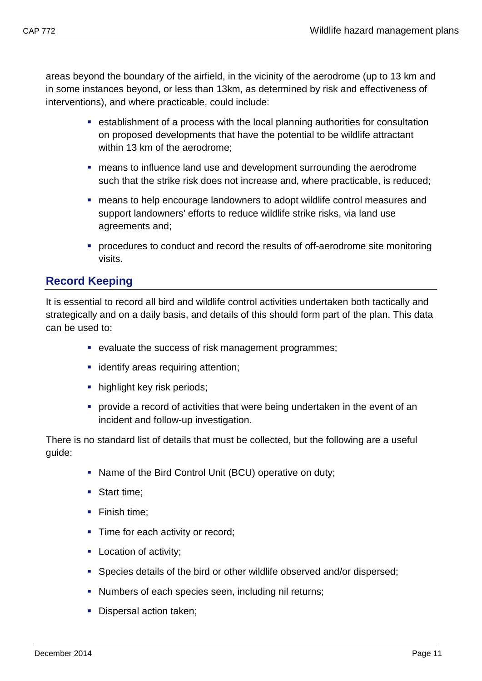areas beyond the boundary of the airfield, in the vicinity of the aerodrome (up to 13 km and in some instances beyond, or less than 13km, as determined by risk and effectiveness of interventions), and where practicable, could include:

- establishment of a process with the local planning authorities for consultation on proposed developments that have the potential to be wildlife attractant within 13 km of the aerodrome;
- means to influence land use and development surrounding the aerodrome such that the strike risk does not increase and, where practicable, is reduced;
- means to help encourage landowners to adopt wildlife control measures and support landowners' efforts to reduce wildlife strike risks, via land use agreements and;
- procedures to conduct and record the results of off-aerodrome site monitoring visits.

## <span id="page-13-0"></span>**Record Keeping**

It is essential to record all bird and wildlife control activities undertaken both tactically and strategically and on a daily basis, and details of this should form part of the plan. This data can be used to:

- evaluate the success of risk management programmes;
- **·** identify areas requiring attention:
- **highlight key risk periods;**
- provide a record of activities that were being undertaken in the event of an incident and follow-up investigation.

There is no standard list of details that must be collected, but the following are a useful guide:

- Name of the Bird Control Unit (BCU) operative on duty;
- Start time:
- Finish time:
- Time for each activity or record;
- **Location of activity;**
- Species details of the bird or other wildlife observed and/or dispersed;
- Numbers of each species seen, including nil returns;
- **Dispersal action taken;**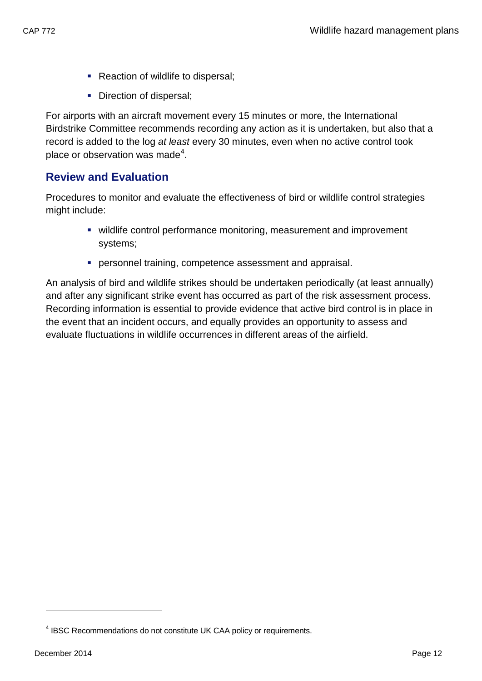- **Reaction of wildlife to dispersal;**
- Direction of dispersal;

For airports with an aircraft movement every 15 minutes or more, the International Birdstrike Committee recommends recording any action as it is undertaken, but also that a record is added to the log *at least* every 30 minutes, even when no active control took place or observation was made<sup>[4](#page-14-1)</sup>.

# <span id="page-14-0"></span>**Review and Evaluation**

Procedures to monitor and evaluate the effectiveness of bird or wildlife control strategies might include:

- wildlife control performance monitoring, measurement and improvement systems;
- **Personnel training, competence assessment and appraisal.**

An analysis of bird and wildlife strikes should be undertaken periodically (at least annually) and after any significant strike event has occurred as part of the risk assessment process. Recording information is essential to provide evidence that active bird control is in place in the event that an incident occurs, and equally provides an opportunity to assess and evaluate fluctuations in wildlife occurrences in different areas of the airfield.

<span id="page-14-1"></span><sup>&</sup>lt;sup>4</sup> IBSC Recommendations do not constitute UK CAA policy or requirements.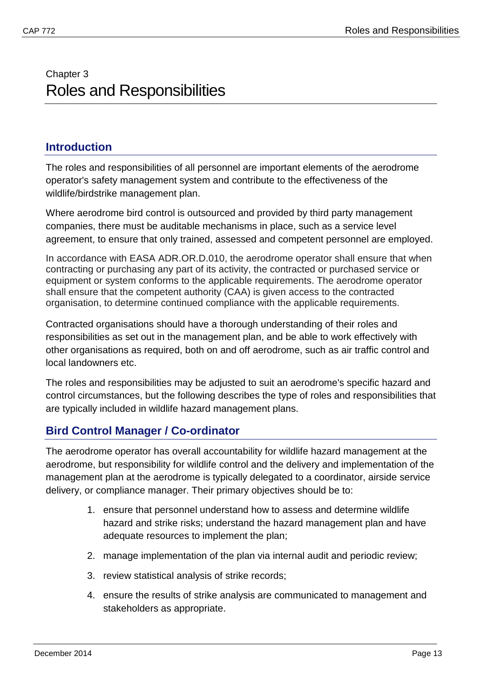# <span id="page-15-1"></span><span id="page-15-0"></span>Chapter 3 Roles and Responsibilities

## <span id="page-15-2"></span>**Introduction**

The roles and responsibilities of all personnel are important elements of the aerodrome operator's safety management system and contribute to the effectiveness of the wildlife/birdstrike management plan.

Where aerodrome bird control is outsourced and provided by third party management companies, there must be auditable mechanisms in place, such as a service level agreement, to ensure that only trained, assessed and competent personnel are employed.

In accordance with EASA ADR.OR.D.010, the aerodrome operator shall ensure that when contracting or purchasing any part of its activity, the contracted or purchased service or equipment or system conforms to the applicable requirements. The aerodrome operator shall ensure that the competent authority (CAA) is given access to the contracted organisation, to determine continued compliance with the applicable requirements.

Contracted organisations should have a thorough understanding of their roles and responsibilities as set out in the management plan, and be able to work effectively with other organisations as required, both on and off aerodrome, such as air traffic control and local landowners etc.

The roles and responsibilities may be adjusted to suit an aerodrome's specific hazard and control circumstances, but the following describes the type of roles and responsibilities that are typically included in wildlife hazard management plans.

## <span id="page-15-3"></span>**Bird Control Manager / Co-ordinator**

The aerodrome operator has overall accountability for wildlife hazard management at the aerodrome, but responsibility for wildlife control and the delivery and implementation of the management plan at the aerodrome is typically delegated to a coordinator, airside service delivery, or compliance manager. Their primary objectives should be to:

- 1. ensure that personnel understand how to assess and determine wildlife hazard and strike risks; understand the hazard management plan and have adequate resources to implement the plan;
- 2. manage implementation of the plan via internal audit and periodic review;
- 3. review statistical analysis of strike records;
- 4. ensure the results of strike analysis are communicated to management and stakeholders as appropriate.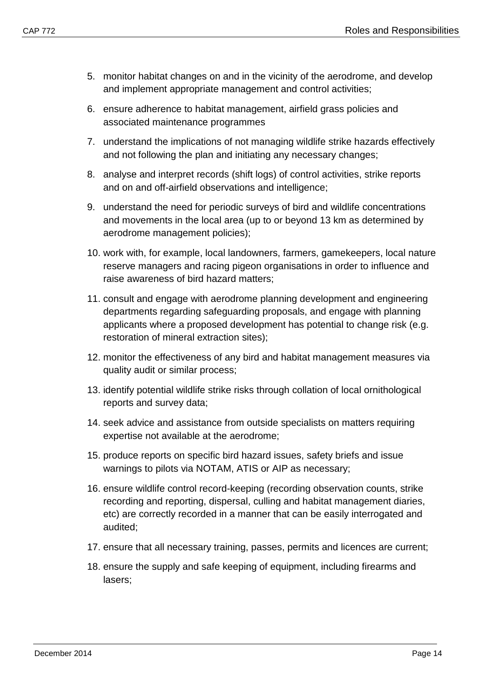- 5. monitor habitat changes on and in the vicinity of the aerodrome, and develop and implement appropriate management and control activities;
- 6. ensure adherence to habitat management, airfield grass policies and associated maintenance programmes
- 7. understand the implications of not managing wildlife strike hazards effectively and not following the plan and initiating any necessary changes;
- 8. analyse and interpret records (shift logs) of control activities, strike reports and on and off-airfield observations and intelligence;
- 9. understand the need for periodic surveys of bird and wildlife concentrations and movements in the local area (up to or beyond 13 km as determined by aerodrome management policies);
- 10. work with, for example, local landowners, farmers, gamekeepers, local nature reserve managers and racing pigeon organisations in order to influence and raise awareness of bird hazard matters;
- 11. consult and engage with aerodrome planning development and engineering departments regarding safeguarding proposals, and engage with planning applicants where a proposed development has potential to change risk (e.g. restoration of mineral extraction sites);
- 12. monitor the effectiveness of any bird and habitat management measures via quality audit or similar process;
- 13. identify potential wildlife strike risks through collation of local ornithological reports and survey data;
- 14. seek advice and assistance from outside specialists on matters requiring expertise not available at the aerodrome;
- 15. produce reports on specific bird hazard issues, safety briefs and issue warnings to pilots via NOTAM, ATIS or AIP as necessary;
- 16. ensure wildlife control record-keeping (recording observation counts, strike recording and reporting, dispersal, culling and habitat management diaries, etc) are correctly recorded in a manner that can be easily interrogated and audited;
- 17. ensure that all necessary training, passes, permits and licences are current;
- 18. ensure the supply and safe keeping of equipment, including firearms and lasers;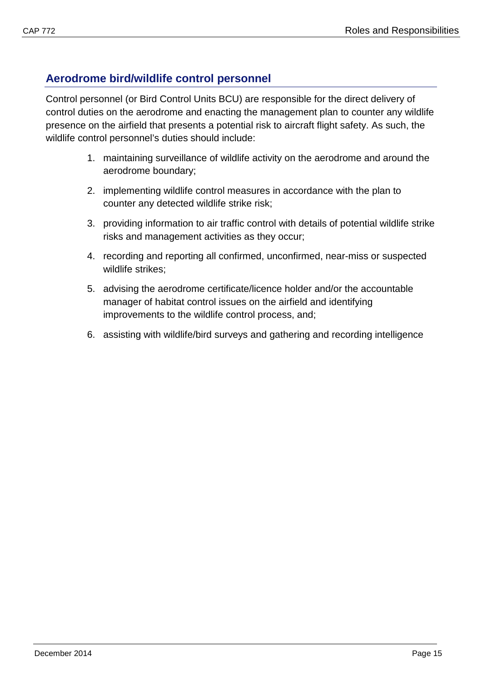## <span id="page-17-0"></span>**Aerodrome bird/wildlife control personnel**

Control personnel (or Bird Control Units BCU) are responsible for the direct delivery of control duties on the aerodrome and enacting the management plan to counter any wildlife presence on the airfield that presents a potential risk to aircraft flight safety. As such, the wildlife control personnel's duties should include:

- 1. maintaining surveillance of wildlife activity on the aerodrome and around the aerodrome boundary;
- 2. implementing wildlife control measures in accordance with the plan to counter any detected wildlife strike risk;
- 3. providing information to air traffic control with details of potential wildlife strike risks and management activities as they occur;
- 4. recording and reporting all confirmed, unconfirmed, near-miss or suspected wildlife strikes;
- 5. advising the aerodrome certificate/licence holder and/or the accountable manager of habitat control issues on the airfield and identifying improvements to the wildlife control process, and;
- 6. assisting with wildlife/bird surveys and gathering and recording intelligence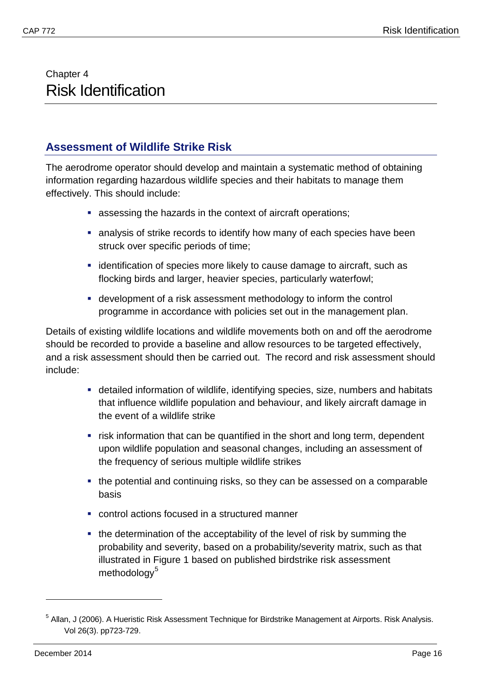# <span id="page-18-1"></span><span id="page-18-0"></span>Chapter 4 Risk Identification

## <span id="page-18-2"></span>**Assessment of Wildlife Strike Risk**

The aerodrome operator should develop and maintain a systematic method of obtaining information regarding hazardous wildlife species and their habitats to manage them effectively. This should include:

- assessing the hazards in the context of aircraft operations;
- analysis of strike records to identify how many of each species have been struck over specific periods of time;
- **Example 1** identification of species more likely to cause damage to aircraft, such as flocking birds and larger, heavier species, particularly waterfowl;
- development of a risk assessment methodology to inform the control programme in accordance with policies set out in the management plan.

Details of existing wildlife locations and wildlife movements both on and off the aerodrome should be recorded to provide a baseline and allow resources to be targeted effectively, and a risk assessment should then be carried out. The record and risk assessment should include:

- detailed information of wildlife, identifying species, size, numbers and habitats that influence wildlife population and behaviour, and likely aircraft damage in the event of a wildlife strike
- **F** risk information that can be quantified in the short and long term, dependent upon wildlife population and seasonal changes, including an assessment of the frequency of serious multiple wildlife strikes
- the potential and continuing risks, so they can be assessed on a comparable basis
- control actions focused in a structured manner
- the determination of the acceptability of the level of risk by summing the probability and severity, based on a probability/severity matrix, such as that illustrated in Figure 1 based on published birdstrike risk assessment methodology<sup>[5](#page-18-3)</sup>

<span id="page-18-3"></span><sup>5</sup> Allan, J (2006). A Hueristic Risk Assessment Technique for Birdstrike Management at Airports. Risk Analysis. Vol 26(3). pp723-729.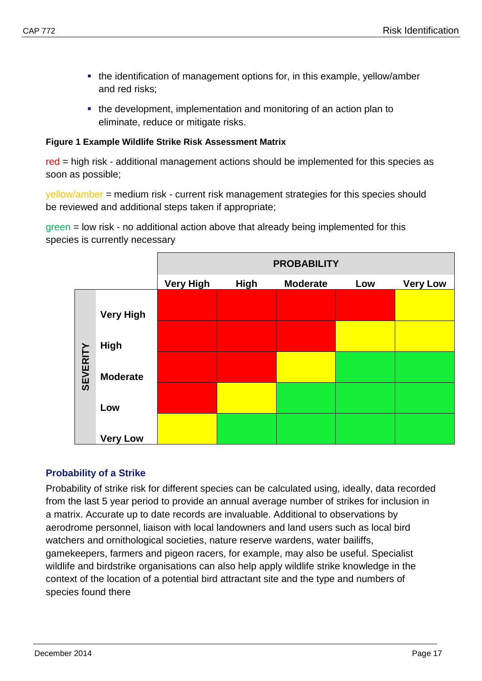- the identification of management options for, in this example, yellow/amber and red risks;
- the development, implementation and monitoring of an action plan to eliminate, reduce or mitigate risks.

#### **Figure 1 Example Wildlife Strike Risk Assessment Matrix**

red = high risk - additional management actions should be implemented for this species as soon as possible;

yellow/amber = medium risk - current risk management strategies for this species should be reviewed and additional steps taken if appropriate;

green = low risk - no additional action above that already being implemented for this species is currently necessary

|                 |                  | <b>PROBABILITY</b> |                                                          |  |  |  |  |  |  |  |  |  |  |
|-----------------|------------------|--------------------|----------------------------------------------------------|--|--|--|--|--|--|--|--|--|--|
|                 |                  | <b>Very High</b>   | <b>High</b><br><b>Moderate</b><br><b>Very Low</b><br>Low |  |  |  |  |  |  |  |  |  |  |
|                 | <b>Very High</b> |                    |                                                          |  |  |  |  |  |  |  |  |  |  |
|                 | <b>High</b>      |                    |                                                          |  |  |  |  |  |  |  |  |  |  |
| <b>SEVERITY</b> | <b>Moderate</b>  |                    |                                                          |  |  |  |  |  |  |  |  |  |  |
|                 | Low              |                    |                                                          |  |  |  |  |  |  |  |  |  |  |
|                 | <b>Very Low</b>  |                    |                                                          |  |  |  |  |  |  |  |  |  |  |

## <span id="page-19-0"></span>**Probability of a Strike**

Probability of strike risk for different species can be calculated using, ideally, data recorded from the last 5 year period to provide an annual average number of strikes for inclusion in a matrix. Accurate up to date records are invaluable. Additional to observations by aerodrome personnel, liaison with local landowners and land users such as local bird watchers and ornithological societies, nature reserve wardens, water bailiffs, gamekeepers, farmers and pigeon racers, for example, may also be useful. Specialist wildlife and birdstrike organisations can also help apply wildlife strike knowledge in the context of the location of a potential bird attractant site and the type and numbers of species found there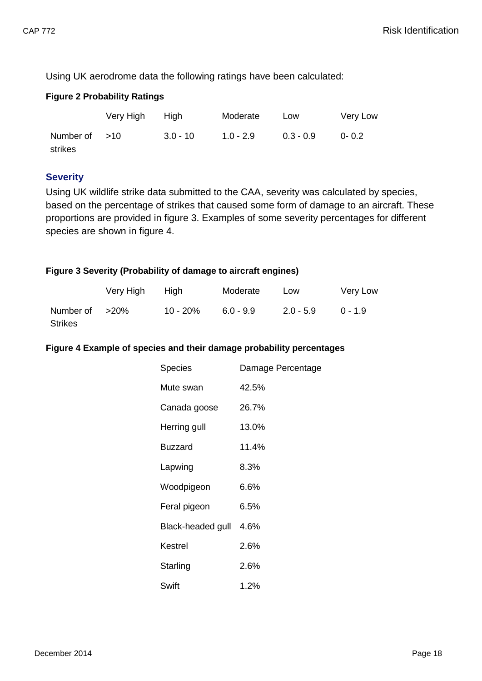Using UK aerodrome data the following ratings have been calculated:

## **Figure 2 Probability Ratings**

|                 | Very High | High       | Moderate    | Low         | Very Low  |
|-----------------|-----------|------------|-------------|-------------|-----------|
| Number of $>10$ |           | $3.0 - 10$ | $1.0 - 2.9$ | $0.3 - 0.9$ | $0 - 0.2$ |
| strikes         |           |            |             |             |           |

## <span id="page-20-0"></span>**Severity**

Using UK wildlife strike data submitted to the CAA, severity was calculated by species, based on the percentage of strikes that caused some form of damage to an aircraft. These proportions are provided in figure 3. Examples of some severity percentages for different species are shown in figure 4.

#### **Figure 3 Severity (Probability of damage to aircraft engines)**

|                | Very High | Hiah        | Moderate    | Low         | Very Low  |
|----------------|-----------|-------------|-------------|-------------|-----------|
| Number of >20% |           | $10 - 20\%$ | $6.0 - 9.9$ | $2.0 - 5.9$ | $0 - 1.9$ |
| <b>Strikes</b> |           |             |             |             |           |

#### **Figure 4 Example of species and their damage probability percentages**

| Species           | Damage Percentage |
|-------------------|-------------------|
| Mute swan         | 42.5%             |
| Canada goose      | 26.7%             |
| Herring gull      | 13.0%             |
| <b>Buzzard</b>    | 11.4%             |
| Lapwing           | 8.3%              |
| Woodpigeon        | 6.6%              |
| Feral pigeon      | 6.5%              |
| Black-headed gull | 4.6%              |
| Kestrel           | 2.6%              |
| Starling          | $2.6\%$           |
| Swift             | $1.2\%$           |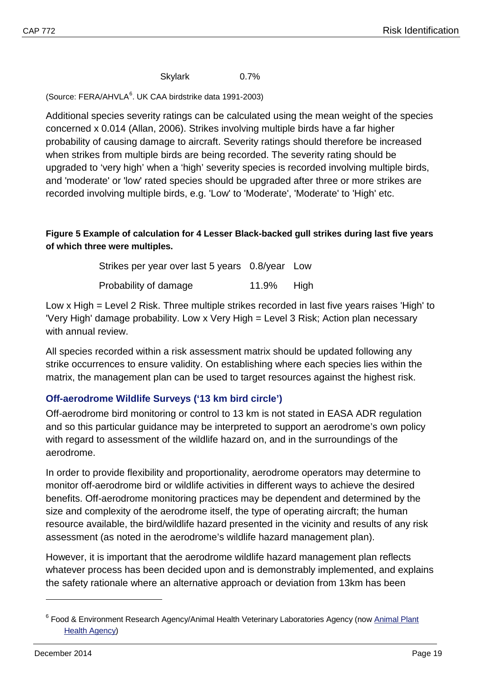Skylark 0.7%

(Source: FERA/AHVLA<sup>[6](#page-21-1)</sup>. UK CAA birdstrike data 1991-2003)

Additional species severity ratings can be calculated using the mean weight of the species concerned x 0.014 (Allan, 2006). Strikes involving multiple birds have a far higher probability of causing damage to aircraft. Severity ratings should therefore be increased when strikes from multiple birds are being recorded. The severity rating should be upgraded to 'very high' when a 'high' severity species is recorded involving multiple birds, and 'moderate' or 'low' rated species should be upgraded after three or more strikes are recorded involving multiple birds, e.g. 'Low' to 'Moderate', 'Moderate' to 'High' etc.

## **Figure 5 Example of calculation for 4 Lesser Black-backed gull strikes during last five years of which three were multiples.**

Strikes per year over last 5 years 0.8/year Low Probability of damage 11.9% High

Low x High = Level 2 Risk. Three multiple strikes recorded in last five years raises 'High' to 'Very High' damage probability. Low x Very High = Level 3 Risk; Action plan necessary with annual review.

All species recorded within a risk assessment matrix should be updated following any strike occurrences to ensure validity. On establishing where each species lies within the matrix, the management plan can be used to target resources against the highest risk.

## <span id="page-21-0"></span>**Off-aerodrome Wildlife Surveys ('13 km bird circle')**

Off-aerodrome bird monitoring or control to 13 km is not stated in EASA ADR regulation and so this particular guidance may be interpreted to support an aerodrome's own policy with regard to assessment of the wildlife hazard on, and in the surroundings of the aerodrome.

In order to provide flexibility and proportionality, aerodrome operators may determine to monitor off-aerodrome bird or wildlife activities in different ways to achieve the desired benefits. Off-aerodrome monitoring practices may be dependent and determined by the size and complexity of the aerodrome itself, the type of operating aircraft; the human resource available, the bird/wildlife hazard presented in the vicinity and results of any risk assessment (as noted in the aerodrome's wildlife hazard management plan).

However, it is important that the aerodrome wildlife hazard management plan reflects whatever process has been decided upon and is demonstrably implemented, and explains the safety rationale where an alternative approach or deviation from 13km has been

<span id="page-21-1"></span><sup>&</sup>lt;sup>6</sup> Food & Environment Research Agency/Animal Health Veterinary Laboratories Agency (now Animal Plant [Health Agency\)](https://www.gov.uk/government/organisations/animal-and-plant-health-agency)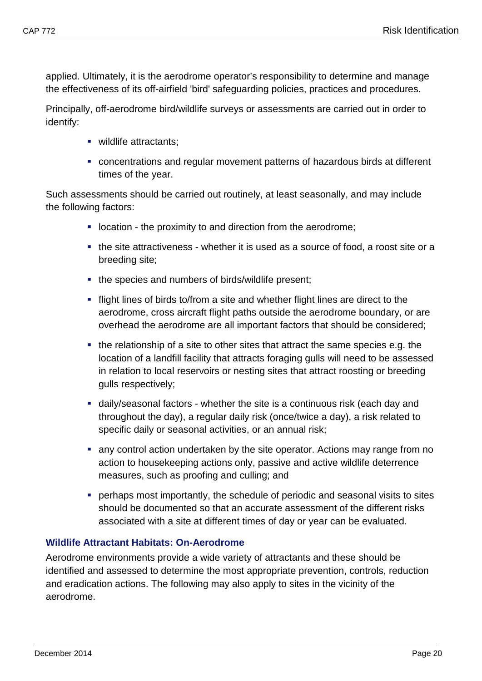applied. Ultimately, it is the aerodrome operator's responsibility to determine and manage the effectiveness of its off-airfield 'bird' safeguarding policies, practices and procedures.

Principally, off-aerodrome bird/wildlife surveys or assessments are carried out in order to identify:

- wildlife attractants:
- concentrations and regular movement patterns of hazardous birds at different times of the year.

Such assessments should be carried out routinely, at least seasonally, and may include the following factors:

- **-** location the proximity to and direction from the aerodrome;
- the site attractiveness whether it is used as a source of food, a roost site or a breeding site;
- the species and numbers of birds/wildlife present;
- flight lines of birds to/from a site and whether flight lines are direct to the aerodrome, cross aircraft flight paths outside the aerodrome boundary, or are overhead the aerodrome are all important factors that should be considered;
- $\blacksquare$  the relationship of a site to other sites that attract the same species e.g. the location of a landfill facility that attracts foraging gulls will need to be assessed in relation to local reservoirs or nesting sites that attract roosting or breeding gulls respectively;
- daily/seasonal factors whether the site is a continuous risk (each day and throughout the day), a regular daily risk (once/twice a day), a risk related to specific daily or seasonal activities, or an annual risk;
- any control action undertaken by the site operator. Actions may range from no action to housekeeping actions only, passive and active wildlife deterrence measures, such as proofing and culling; and
- perhaps most importantly, the schedule of periodic and seasonal visits to sites should be documented so that an accurate assessment of the different risks associated with a site at different times of day or year can be evaluated.

## <span id="page-22-0"></span>**Wildlife Attractant Habitats: On-Aerodrome**

Aerodrome environments provide a wide variety of attractants and these should be identified and assessed to determine the most appropriate prevention, controls, reduction and eradication actions. The following may also apply to sites in the vicinity of the aerodrome.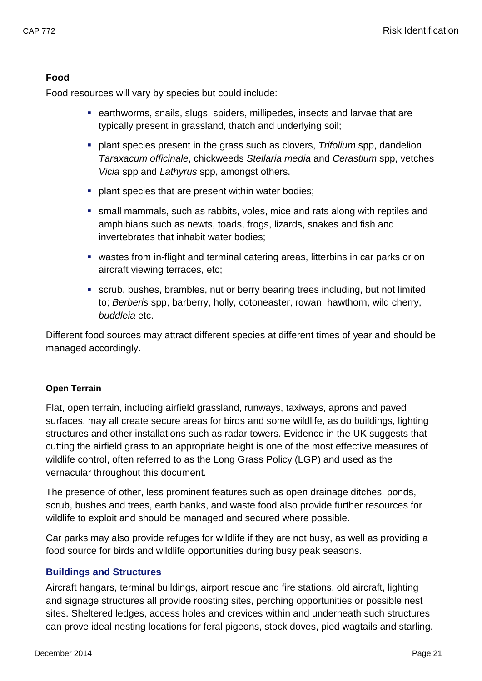## **Food**

Food resources will vary by species but could include:

- **EXE** earthworms, snails, slugs, spiders, millipedes, insects and larvae that are typically present in grassland, thatch and underlying soil;
- plant species present in the grass such as clovers, *Trifolium* spp, dandelion *Taraxacum officinale*, chickweeds *Stellaria media* and *Cerastium* spp, vetches *Vicia* spp and *Lathyrus* spp, amongst others.
- **PEDENT SHERIFF SHERIFF SHERIFF SHERIFF SHERIFF SHERIFF SHERIFF SHERIFF SHERIFF SHERIFF SHERIFF SHERIFF SHERIFF SHERIFF SHERIFF SHERIFF SHERIFF SHERIFF SHERIFF SHERIFF SHERIFF SHERIFF SHERIFF SHERIFF SHERIFF SHERIFF SHERIF**
- small mammals, such as rabbits, voles, mice and rats along with reptiles and amphibians such as newts, toads, frogs, lizards, snakes and fish and invertebrates that inhabit water bodies;
- wastes from in-flight and terminal catering areas, litterbins in car parks or on aircraft viewing terraces, etc;
- scrub, bushes, brambles, nut or berry bearing trees including, but not limited to; *Berberis* spp, barberry, holly, cotoneaster, rowan, hawthorn, wild cherry, *buddleia* etc.

Different food sources may attract different species at different times of year and should be managed accordingly.

## **Open Terrain**

Flat, open terrain, including airfield grassland, runways, taxiways, aprons and paved surfaces, may all create secure areas for birds and some wildlife, as do buildings, lighting structures and other installations such as radar towers. Evidence in the UK suggests that cutting the airfield grass to an appropriate height is one of the most effective measures of wildlife control, often referred to as the Long Grass Policy (LGP) and used as the vernacular throughout this document.

The presence of other, less prominent features such as open drainage ditches, ponds, scrub, bushes and trees, earth banks, and waste food also provide further resources for wildlife to exploit and should be managed and secured where possible.

Car parks may also provide refuges for wildlife if they are not busy, as well as providing a food source for birds and wildlife opportunities during busy peak seasons.

## <span id="page-23-0"></span>**Buildings and Structures**

Aircraft hangars, terminal buildings, airport rescue and fire stations, old aircraft, lighting and signage structures all provide roosting sites, perching opportunities or possible nest sites. Sheltered ledges, access holes and crevices within and underneath such structures can prove ideal nesting locations for feral pigeons, stock doves, pied wagtails and starling.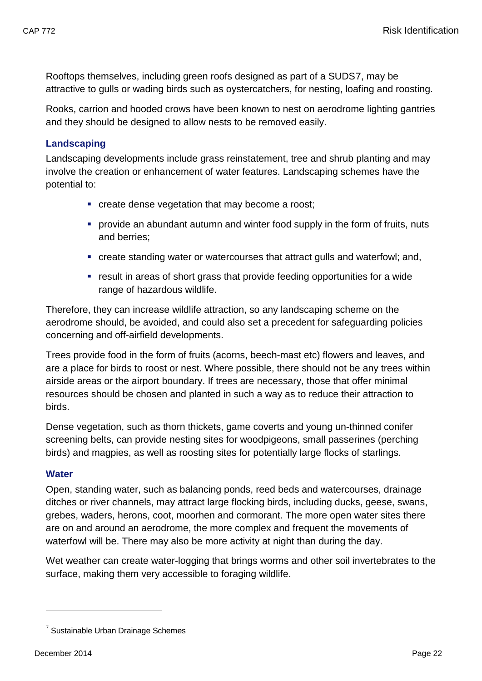Rooftops themselves, including green roofs designed as part of a SUDS[7](#page-24-2), may be attractive to gulls or wading birds such as oystercatchers, for nesting, loafing and roosting.

Rooks, carrion and hooded crows have been known to nest on aerodrome lighting gantries and they should be designed to allow nests to be removed easily.

## <span id="page-24-0"></span>**Landscaping**

Landscaping developments include grass reinstatement, tree and shrub planting and may involve the creation or enhancement of water features. Landscaping schemes have the potential to:

- **•** create dense vegetation that may become a roost;
- provide an abundant autumn and winter food supply in the form of fruits, nuts and berries;
- create standing water or watercourses that attract gulls and waterfowl; and,
- **•** result in areas of short grass that provide feeding opportunities for a wide range of hazardous wildlife.

Therefore, they can increase wildlife attraction, so any landscaping scheme on the aerodrome should, be avoided, and could also set a precedent for safeguarding policies concerning and off-airfield developments.

Trees provide food in the form of fruits (acorns, beech-mast etc) flowers and leaves, and are a place for birds to roost or nest. Where possible, there should not be any trees within airside areas or the airport boundary. If trees are necessary, those that offer minimal resources should be chosen and planted in such a way as to reduce their attraction to birds.

Dense vegetation, such as thorn thickets, game coverts and young un-thinned conifer screening belts, can provide nesting sites for woodpigeons, small passerines (perching birds) and magpies, as well as roosting sites for potentially large flocks of starlings.

## <span id="page-24-1"></span>**Water**

Open, standing water, such as balancing ponds, reed beds and watercourses, drainage ditches or river channels, may attract large flocking birds, including ducks, geese, swans, grebes, waders, herons, coot, moorhen and cormorant. The more open water sites there are on and around an aerodrome, the more complex and frequent the movements of waterfowl will be. There may also be more activity at night than during the day.

Wet weather can create water-logging that brings worms and other soil invertebrates to the surface, making them very accessible to foraging wildlife.

<span id="page-24-2"></span><sup>&</sup>lt;sup>7</sup> Sustainable Urban Drainage Schemes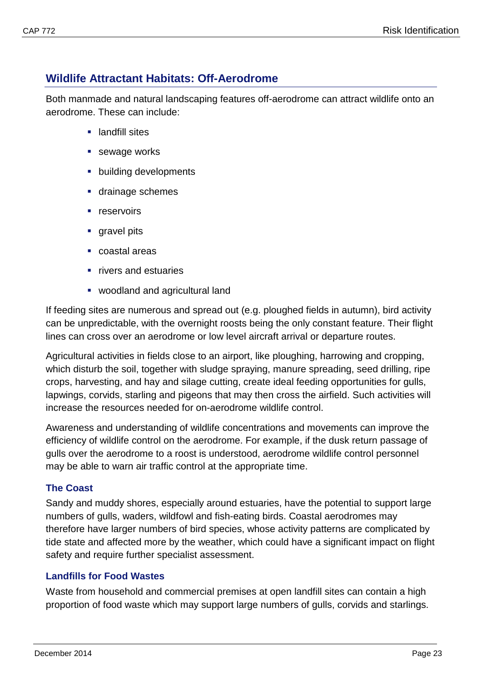# <span id="page-25-0"></span>**Wildlife Attractant Habitats: Off-Aerodrome**

Both manmade and natural landscaping features off-aerodrome can attract wildlife onto an aerodrome. These can include:

- **E** landfill sites
- sewage works
- **•** building developments
- **drainage schemes**
- **reservoirs**
- gravel pits
- coastal areas
- **Fivers and estuaries**
- woodland and agricultural land

If feeding sites are numerous and spread out (e.g. ploughed fields in autumn), bird activity can be unpredictable, with the overnight roosts being the only constant feature. Their flight lines can cross over an aerodrome or low level aircraft arrival or departure routes.

Agricultural activities in fields close to an airport, like ploughing, harrowing and cropping, which disturb the soil, together with sludge spraying, manure spreading, seed drilling, ripe crops, harvesting, and hay and silage cutting, create ideal feeding opportunities for gulls, lapwings, corvids, starling and pigeons that may then cross the airfield. Such activities will increase the resources needed for on-aerodrome wildlife control.

Awareness and understanding of wildlife concentrations and movements can improve the efficiency of wildlife control on the aerodrome. For example, if the dusk return passage of gulls over the aerodrome to a roost is understood, aerodrome wildlife control personnel may be able to warn air traffic control at the appropriate time.

## <span id="page-25-1"></span>**The Coast**

Sandy and muddy shores, especially around estuaries, have the potential to support large numbers of gulls, waders, wildfowl and fish-eating birds. Coastal aerodromes may therefore have larger numbers of bird species, whose activity patterns are complicated by tide state and affected more by the weather, which could have a significant impact on flight safety and require further specialist assessment.

## <span id="page-25-2"></span>**Landfills for Food Wastes**

Waste from household and commercial premises at open landfill sites can contain a high proportion of food waste which may support large numbers of gulls, corvids and starlings.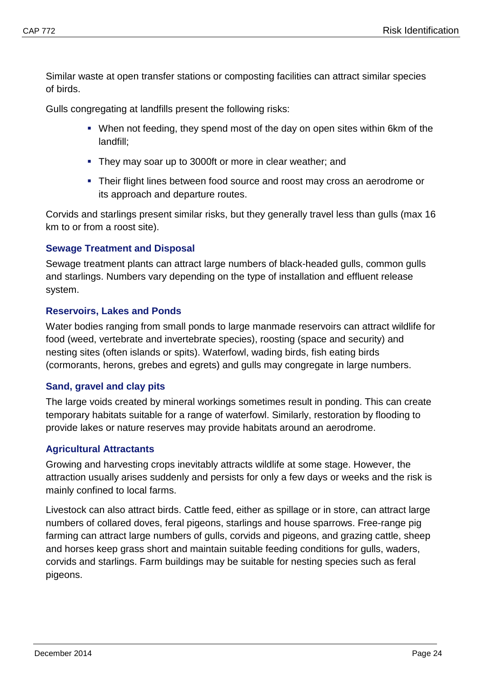Similar waste at open transfer stations or composting facilities can attract similar species of birds.

Gulls congregating at landfills present the following risks:

- When not feeding, they spend most of the day on open sites within 6km of the landfill;
- **They may soar up to 3000ft or more in clear weather; and**
- Their flight lines between food source and roost may cross an aerodrome or its approach and departure routes.

Corvids and starlings present similar risks, but they generally travel less than gulls (max 16 km to or from a roost site).

#### <span id="page-26-0"></span>**Sewage Treatment and Disposal**

Sewage treatment plants can attract large numbers of black-headed gulls, common gulls and starlings. Numbers vary depending on the type of installation and effluent release system.

#### <span id="page-26-1"></span>**Reservoirs, Lakes and Ponds**

Water bodies ranging from small ponds to large manmade reservoirs can attract wildlife for food (weed, vertebrate and invertebrate species), roosting (space and security) and nesting sites (often islands or spits). Waterfowl, wading birds, fish eating birds (cormorants, herons, grebes and egrets) and gulls may congregate in large numbers.

#### <span id="page-26-2"></span>**Sand, gravel and clay pits**

The large voids created by mineral workings sometimes result in ponding. This can create temporary habitats suitable for a range of waterfowl. Similarly, restoration by flooding to provide lakes or nature reserves may provide habitats around an aerodrome.

## <span id="page-26-3"></span>**Agricultural Attractants**

Growing and harvesting crops inevitably attracts wildlife at some stage. However, the attraction usually arises suddenly and persists for only a few days or weeks and the risk is mainly confined to local farms.

Livestock can also attract birds. Cattle feed, either as spillage or in store, can attract large numbers of collared doves, feral pigeons, starlings and house sparrows. Free-range pig farming can attract large numbers of gulls, corvids and pigeons, and grazing cattle, sheep and horses keep grass short and maintain suitable feeding conditions for gulls, waders, corvids and starlings. Farm buildings may be suitable for nesting species such as feral pigeons.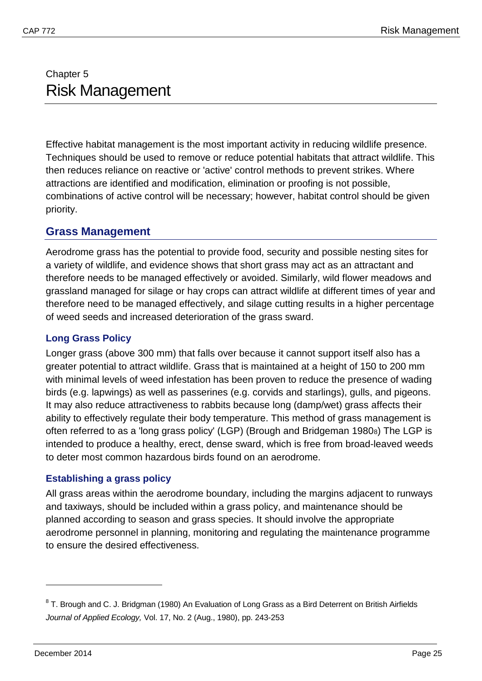# <span id="page-27-1"></span><span id="page-27-0"></span>Chapter 5 Risk Management

Effective habitat management is the most important activity in reducing wildlife presence. Techniques should be used to remove or reduce potential habitats that attract wildlife. This then reduces reliance on reactive or 'active' control methods to prevent strikes. Where attractions are identified and modification, elimination or proofing is not possible, combinations of active control will be necessary; however, habitat control should be given priority.

## <span id="page-27-2"></span>**Grass Management**

Aerodrome grass has the potential to provide food, security and possible nesting sites for a variety of wildlife, and evidence shows that short grass may act as an attractant and therefore needs to be managed effectively or avoided. Similarly, wild flower meadows and grassland managed for silage or hay crops can attract wildlife at different times of year and therefore need to be managed effectively, and silage cutting results in a higher percentage of weed seeds and increased deterioration of the grass sward.

## <span id="page-27-3"></span>**Long Grass Policy**

Longer grass (above 300 mm) that falls over because it cannot support itself also has a greater potential to attract wildlife. Grass that is maintained at a height of 150 to 200 mm with minimal levels of weed infestation has been proven to reduce the presence of wading birds (e.g. lapwings) as well as passerines (e.g. corvids and starlings), gulls, and pigeons. It may also reduce attractiveness to rabbits because long (damp/wet) grass affects their ability to effectively regulate their body temperature. This method of grass management is often referred to as a 'long grass policy' (LGP) (Brough and Bridgeman 1980[8](#page-27-5)) The LGP is intended to produce a healthy, erect, dense sward, which is free from broad-leaved weeds to deter most common hazardous birds found on an aerodrome.

## <span id="page-27-4"></span>**Establishing a grass policy**

All grass areas within the aerodrome boundary, including the margins adjacent to runways and taxiways, should be included within a grass policy, and maintenance should be planned according to season and grass species. It should involve the appropriate aerodrome personnel in planning, monitoring and regulating the maintenance programme to ensure the desired effectiveness.

<span id="page-27-5"></span><sup>&</sup>lt;sup>8</sup> T. Brough and C. J. Bridgman (1980) An Evaluation of Long Grass as a Bird Deterrent on British Airfields *Journal of Applied Ecology,* Vol. 17, No. 2 (Aug., 1980), pp. 243-253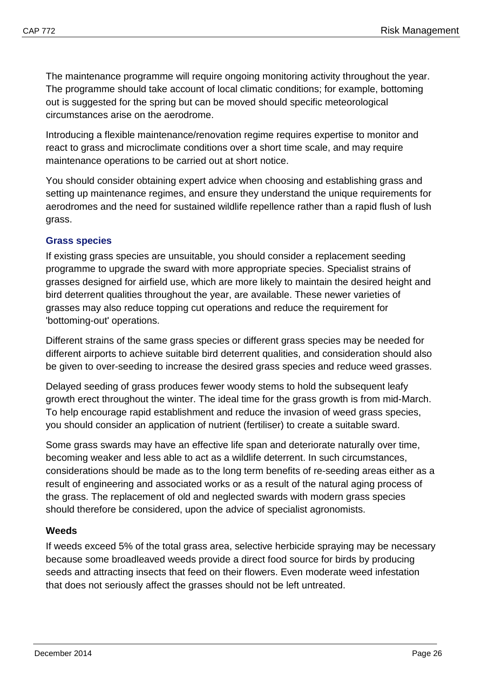The maintenance programme will require ongoing monitoring activity throughout the year. The programme should take account of local climatic conditions; for example, bottoming out is suggested for the spring but can be moved should specific meteorological circumstances arise on the aerodrome.

Introducing a flexible maintenance/renovation regime requires expertise to monitor and react to grass and microclimate conditions over a short time scale, and may require maintenance operations to be carried out at short notice.

You should consider obtaining expert advice when choosing and establishing grass and setting up maintenance regimes, and ensure they understand the unique requirements for aerodromes and the need for sustained wildlife repellence rather than a rapid flush of lush grass.

#### **Grass species**

If existing grass species are unsuitable, you should consider a replacement seeding programme to upgrade the sward with more appropriate species. Specialist strains of grasses designed for airfield use, which are more likely to maintain the desired height and bird deterrent qualities throughout the year, are available. These newer varieties of grasses may also reduce topping cut operations and reduce the requirement for 'bottoming-out' operations.

Different strains of the same grass species or different grass species may be needed for different airports to achieve suitable bird deterrent qualities, and consideration should also be given to over-seeding to increase the desired grass species and reduce weed grasses.

Delayed seeding of grass produces fewer woody stems to hold the subsequent leafy growth erect throughout the winter. The ideal time for the grass growth is from mid-March. To help encourage rapid establishment and reduce the invasion of weed grass species, you should consider an application of nutrient (fertiliser) to create a suitable sward.

Some grass swards may have an effective life span and deteriorate naturally over time, becoming weaker and less able to act as a wildlife deterrent. In such circumstances, considerations should be made as to the long term benefits of re-seeding areas either as a result of engineering and associated works or as a result of the natural aging process of the grass. The replacement of old and neglected swards with modern grass species should therefore be considered, upon the advice of specialist agronomists.

## **Weeds**

If weeds exceed 5% of the total grass area, selective herbicide spraying may be necessary because some broadleaved weeds provide a direct food source for birds by producing seeds and attracting insects that feed on their flowers. Even moderate weed infestation that does not seriously affect the grasses should not be left untreated.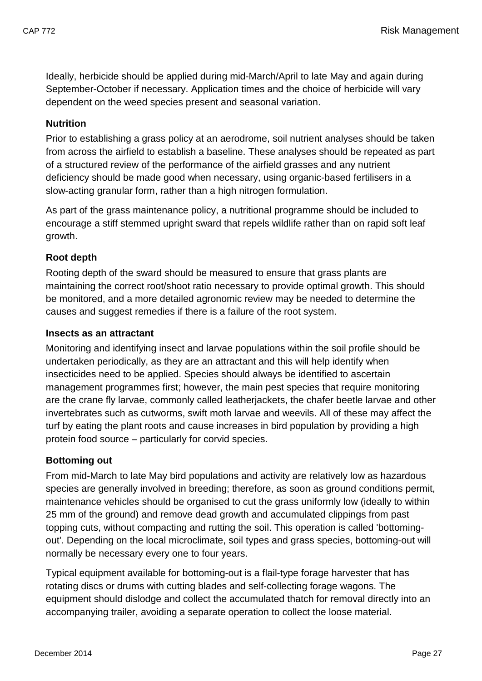Ideally, herbicide should be applied during mid-March/April to late May and again during September-October if necessary. Application times and the choice of herbicide will vary dependent on the weed species present and seasonal variation.

#### **Nutrition**

Prior to establishing a grass policy at an aerodrome, soil nutrient analyses should be taken from across the airfield to establish a baseline. These analyses should be repeated as part of a structured review of the performance of the airfield grasses and any nutrient deficiency should be made good when necessary, using organic-based fertilisers in a slow-acting granular form, rather than a high nitrogen formulation.

As part of the grass maintenance policy, a nutritional programme should be included to encourage a stiff stemmed upright sward that repels wildlife rather than on rapid soft leaf growth.

#### **Root depth**

Rooting depth of the sward should be measured to ensure that grass plants are maintaining the correct root/shoot ratio necessary to provide optimal growth. This should be monitored, and a more detailed agronomic review may be needed to determine the causes and suggest remedies if there is a failure of the root system.

#### **Insects as an attractant**

Monitoring and identifying insect and larvae populations within the soil profile should be undertaken periodically, as they are an attractant and this will help identify when insecticides need to be applied. Species should always be identified to ascertain management programmes first; however, the main pest species that require monitoring are the crane fly larvae, commonly called leatherjackets, the chafer beetle larvae and other invertebrates such as cutworms, swift moth larvae and weevils. All of these may affect the turf by eating the plant roots and cause increases in bird population by providing a high protein food source – particularly for corvid species.

#### **Bottoming out**

From mid-March to late May bird populations and activity are relatively low as hazardous species are generally involved in breeding; therefore, as soon as ground conditions permit, maintenance vehicles should be organised to cut the grass uniformly low (ideally to within 25 mm of the ground) and remove dead growth and accumulated clippings from past topping cuts, without compacting and rutting the soil. This operation is called 'bottomingout'. Depending on the local microclimate, soil types and grass species, bottoming-out will normally be necessary every one to four years.

Typical equipment available for bottoming-out is a flail-type forage harvester that has rotating discs or drums with cutting blades and self-collecting forage wagons. The equipment should dislodge and collect the accumulated thatch for removal directly into an accompanying trailer, avoiding a separate operation to collect the loose material.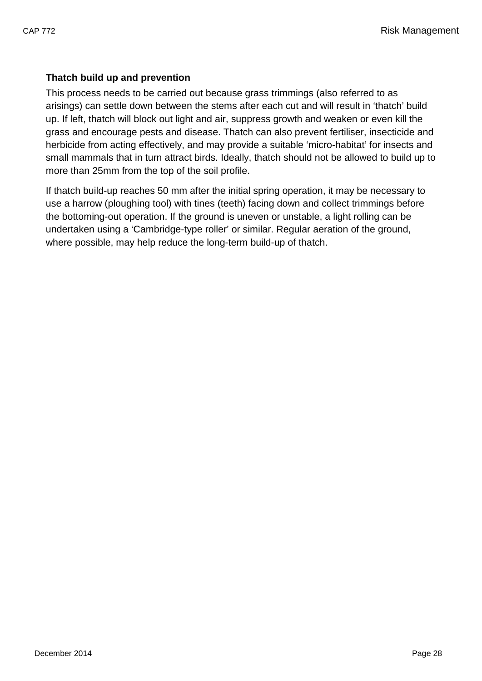## **Thatch build up and prevention**

This process needs to be carried out because grass trimmings (also referred to as arisings) can settle down between the stems after each cut and will result in 'thatch' build up. If left, thatch will block out light and air, suppress growth and weaken or even kill the grass and encourage pests and disease. Thatch can also prevent fertiliser, insecticide and herbicide from acting effectively, and may provide a suitable 'micro-habitat' for insects and small mammals that in turn attract birds. Ideally, thatch should not be allowed to build up to more than 25mm from the top of the soil profile.

If thatch build-up reaches 50 mm after the initial spring operation, it may be necessary to use a harrow (ploughing tool) with tines (teeth) facing down and collect trimmings before the bottoming-out operation. If the ground is uneven or unstable, a light rolling can be undertaken using a 'Cambridge-type roller' or similar. Regular aeration of the ground, where possible, may help reduce the long-term build-up of thatch.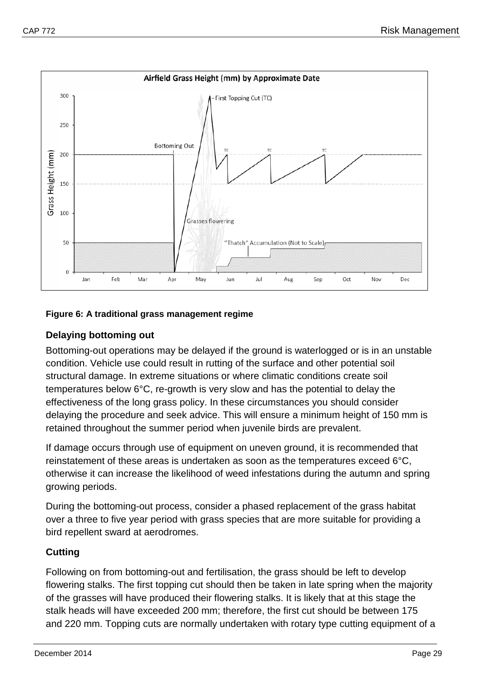

#### **Figure 6: A traditional grass management regime**

## **Delaying bottoming out**

Bottoming-out operations may be delayed if the ground is waterlogged or is in an unstable condition. Vehicle use could result in rutting of the surface and other potential soil structural damage. In extreme situations or where climatic conditions create soil temperatures below 6°C, re-growth is very slow and has the potential to delay the effectiveness of the long grass policy. In these circumstances you should consider delaying the procedure and seek advice. This will ensure a minimum height of 150 mm is retained throughout the summer period when juvenile birds are prevalent.

If damage occurs through use of equipment on uneven ground, it is recommended that reinstatement of these areas is undertaken as soon as the temperatures exceed 6°C, otherwise it can increase the likelihood of weed infestations during the autumn and spring growing periods.

During the bottoming-out process, consider a phased replacement of the grass habitat over a three to five year period with grass species that are more suitable for providing a bird repellent sward at aerodromes.

## **Cutting**

Following on from bottoming-out and fertilisation, the grass should be left to develop flowering stalks. The first topping cut should then be taken in late spring when the majority of the grasses will have produced their flowering stalks. It is likely that at this stage the stalk heads will have exceeded 200 mm; therefore, the first cut should be between 175 and 220 mm. Topping cuts are normally undertaken with rotary type cutting equipment of a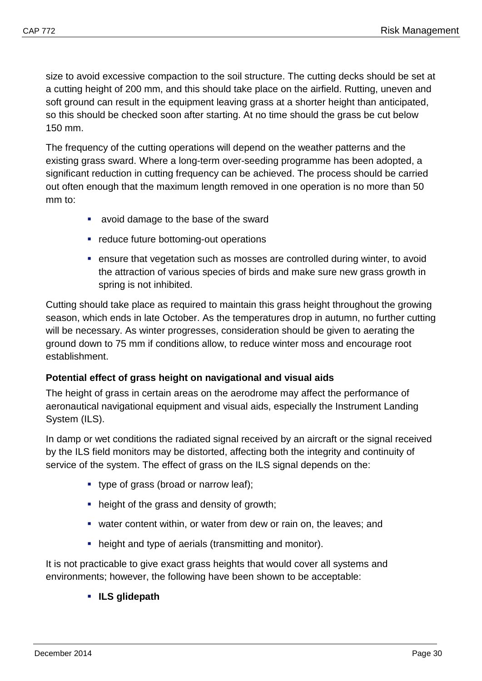size to avoid excessive compaction to the soil structure. The cutting decks should be set at a cutting height of 200 mm, and this should take place on the airfield. Rutting, uneven and soft ground can result in the equipment leaving grass at a shorter height than anticipated, so this should be checked soon after starting. At no time should the grass be cut below 150 mm.

The frequency of the cutting operations will depend on the weather patterns and the existing grass sward. Where a long-term over-seeding programme has been adopted, a significant reduction in cutting frequency can be achieved. The process should be carried out often enough that the maximum length removed in one operation is no more than 50 mm to:

- avoid damage to the base of the sward
- **•** reduce future bottoming-out operations
- ensure that vegetation such as mosses are controlled during winter, to avoid the attraction of various species of birds and make sure new grass growth in spring is not inhibited.

Cutting should take place as required to maintain this grass height throughout the growing season, which ends in late October. As the temperatures drop in autumn, no further cutting will be necessary. As winter progresses, consideration should be given to aerating the ground down to 75 mm if conditions allow, to reduce winter moss and encourage root establishment.

#### **Potential effect of grass height on navigational and visual aids**

The height of grass in certain areas on the aerodrome may affect the performance of aeronautical navigational equipment and visual aids, especially the Instrument Landing System (ILS).

In damp or wet conditions the radiated signal received by an aircraft or the signal received by the ILS field monitors may be distorted, affecting both the integrity and continuity of service of the system. The effect of grass on the ILS signal depends on the:

- type of grass (broad or narrow leaf);
- height of the grass and density of growth;
- water content within, or water from dew or rain on, the leaves; and
- height and type of aerials (transmitting and monitor).

It is not practicable to give exact grass heights that would cover all systems and environments; however, the following have been shown to be acceptable:

**ILS glidepath**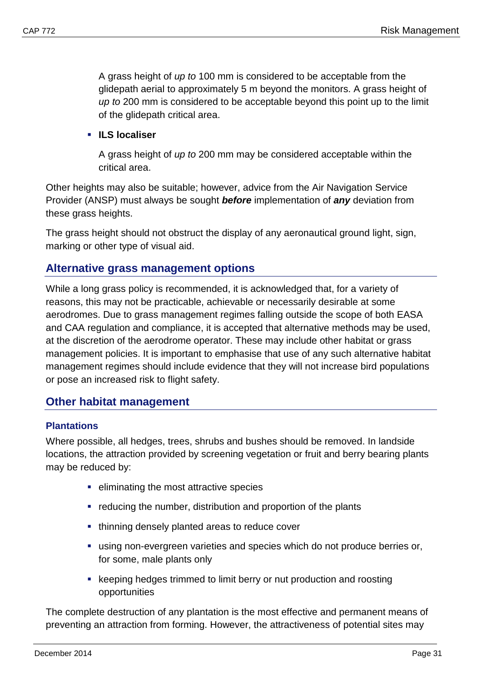A grass height of *up to* 100 mm is considered to be acceptable from the glidepath aerial to approximately 5 m beyond the monitors. A grass height of *up to* 200 mm is considered to be acceptable beyond this point up to the limit of the glidepath critical area.

**ILS localiser**

A grass height of *up to* 200 mm may be considered acceptable within the critical area.

Other heights may also be suitable; however, advice from the Air Navigation Service Provider (ANSP) must always be sought *before* implementation of *any* deviation from these grass heights.

The grass height should not obstruct the display of any aeronautical ground light, sign, marking or other type of visual aid.

## <span id="page-33-0"></span>**Alternative grass management options**

While a long grass policy is recommended, it is acknowledged that, for a variety of reasons, this may not be practicable, achievable or necessarily desirable at some aerodromes. Due to grass management regimes falling outside the scope of both EASA and CAA regulation and compliance, it is accepted that alternative methods may be used, at the discretion of the aerodrome operator. These may include other habitat or grass management policies. It is important to emphasise that use of any such alternative habitat management regimes should include evidence that they will not increase bird populations or pose an increased risk to flight safety.

## <span id="page-33-1"></span>**Other habitat management**

#### <span id="page-33-2"></span>**Plantations**

Where possible, all hedges, trees, shrubs and bushes should be removed. In landside locations, the attraction provided by screening vegetation or fruit and berry bearing plants may be reduced by:

- eliminating the most attractive species
- reducing the number, distribution and proportion of the plants
- **thinning densely planted areas to reduce cover**
- using non-evergreen varieties and species which do not produce berries or, for some, male plants only
- keeping hedges trimmed to limit berry or nut production and roosting opportunities

The complete destruction of any plantation is the most effective and permanent means of preventing an attraction from forming. However, the attractiveness of potential sites may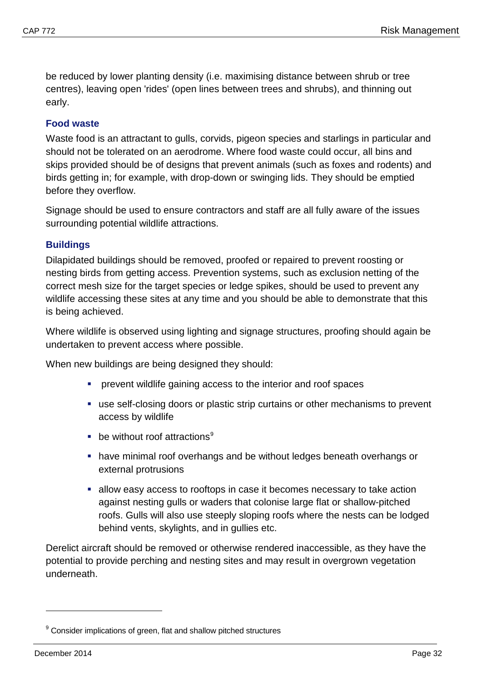be reduced by lower planting density (i.e. maximising distance between shrub or tree centres), leaving open 'rides' (open lines between trees and shrubs), and thinning out early.

#### <span id="page-34-0"></span>**Food waste**

Waste food is an attractant to gulls, corvids, pigeon species and starlings in particular and should not be tolerated on an aerodrome. Where food waste could occur, all bins and skips provided should be of designs that prevent animals (such as foxes and rodents) and birds getting in; for example, with drop-down or swinging lids. They should be emptied before they overflow.

Signage should be used to ensure contractors and staff are all fully aware of the issues surrounding potential wildlife attractions.

#### <span id="page-34-1"></span>**Buildings**

Dilapidated buildings should be removed, proofed or repaired to prevent roosting or nesting birds from getting access. Prevention systems, such as exclusion netting of the correct mesh size for the target species or ledge spikes, should be used to prevent any wildlife accessing these sites at any time and you should be able to demonstrate that this is being achieved.

Where wildlife is observed using lighting and signage structures, proofing should again be undertaken to prevent access where possible.

When new buildings are being designed they should:

- prevent wildlife gaining access to the interior and roof spaces
- use self-closing doors or plastic strip curtains or other mechanisms to prevent access by wildlife
- $\blacksquare$  be without roof attractions<sup>[9](#page-34-2)</sup>
- have minimal roof overhangs and be without ledges beneath overhangs or external protrusions
- allow easy access to rooftops in case it becomes necessary to take action against nesting gulls or waders that colonise large flat or shallow-pitched roofs. Gulls will also use steeply sloping roofs where the nests can be lodged behind vents, skylights, and in gullies etc.

Derelict aircraft should be removed or otherwise rendered inaccessible, as they have the potential to provide perching and nesting sites and may result in overgrown vegetation underneath.

<span id="page-34-2"></span><sup>&</sup>lt;sup>9</sup> Consider implications of green, flat and shallow pitched structures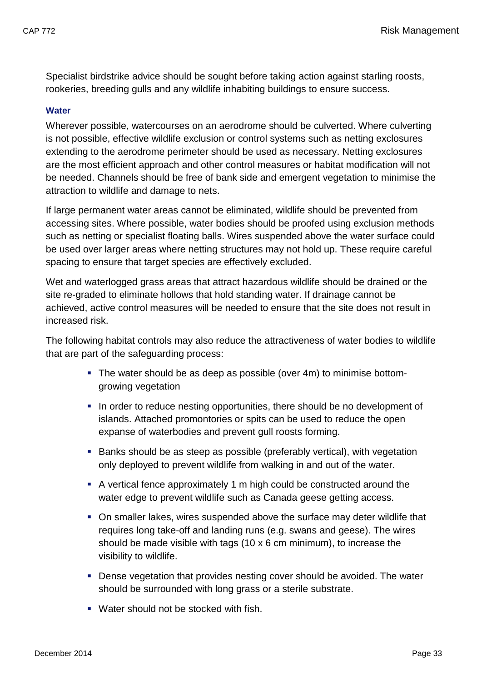Specialist birdstrike advice should be sought before taking action against starling roosts, rookeries, breeding gulls and any wildlife inhabiting buildings to ensure success.

#### <span id="page-35-0"></span>**Water**

Wherever possible, watercourses on an aerodrome should be culverted. Where culverting is not possible, effective wildlife exclusion or control systems such as netting exclosures extending to the aerodrome perimeter should be used as necessary. Netting exclosures are the most efficient approach and other control measures or habitat modification will not be needed. Channels should be free of bank side and emergent vegetation to minimise the attraction to wildlife and damage to nets.

If large permanent water areas cannot be eliminated, wildlife should be prevented from accessing sites. Where possible, water bodies should be proofed using exclusion methods such as netting or specialist floating balls. Wires suspended above the water surface could be used over larger areas where netting structures may not hold up. These require careful spacing to ensure that target species are effectively excluded.

Wet and waterlogged grass areas that attract hazardous wildlife should be drained or the site re-graded to eliminate hollows that hold standing water. If drainage cannot be achieved, active control measures will be needed to ensure that the site does not result in increased risk.

The following habitat controls may also reduce the attractiveness of water bodies to wildlife that are part of the safeguarding process:

- The water should be as deep as possible (over 4m) to minimise bottomgrowing vegetation
- In order to reduce nesting opportunities, there should be no development of islands. Attached promontories or spits can be used to reduce the open expanse of waterbodies and prevent gull roosts forming.
- Banks should be as steep as possible (preferably vertical), with vegetation only deployed to prevent wildlife from walking in and out of the water.
- A vertical fence approximately 1 m high could be constructed around the water edge to prevent wildlife such as Canada geese getting access.
- On smaller lakes, wires suspended above the surface may deter wildlife that requires long take-off and landing runs (e.g. swans and geese). The wires should be made visible with tags (10 x 6 cm minimum), to increase the visibility to wildlife.
- Dense vegetation that provides nesting cover should be avoided. The water should be surrounded with long grass or a sterile substrate.
- Water should not be stocked with fish.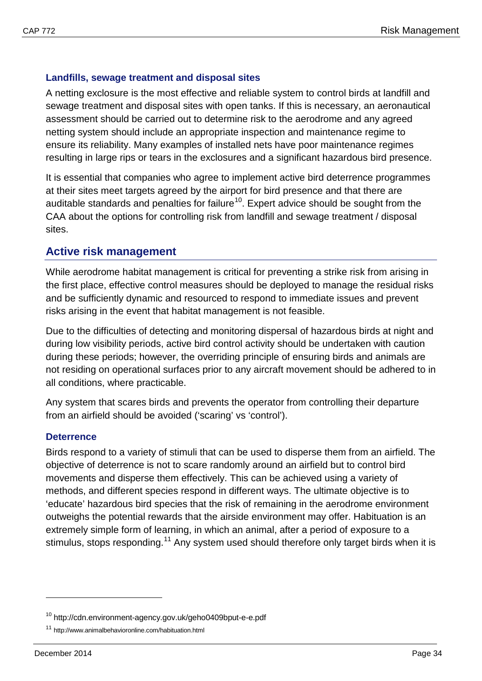## <span id="page-36-0"></span>**Landfills, sewage treatment and disposal sites**

A netting exclosure is the most effective and reliable system to control birds at landfill and sewage treatment and disposal sites with open tanks. If this is necessary, an aeronautical assessment should be carried out to determine risk to the aerodrome and any agreed netting system should include an appropriate inspection and maintenance regime to ensure its reliability. Many examples of installed nets have poor maintenance regimes resulting in large rips or tears in the exclosures and a significant hazardous bird presence.

It is essential that companies who agree to implement active bird deterrence programmes at their sites meet targets agreed by the airport for bird presence and that there are auditable standards and penalties for failure<sup>10</sup>. Expert advice should be sought from the CAA about the options for controlling risk from landfill and sewage treatment / disposal sites.

## <span id="page-36-1"></span>**Active risk management**

While aerodrome habitat management is critical for preventing a strike risk from arising in the first place, effective control measures should be deployed to manage the residual risks and be sufficiently dynamic and resourced to respond to immediate issues and prevent risks arising in the event that habitat management is not feasible.

Due to the difficulties of detecting and monitoring dispersal of hazardous birds at night and during low visibility periods, active bird control activity should be undertaken with caution during these periods; however, the overriding principle of ensuring birds and animals are not residing on operational surfaces prior to any aircraft movement should be adhered to in all conditions, where practicable.

Any system that scares birds and prevents the operator from controlling their departure from an airfield should be avoided ('scaring' vs 'control').

#### <span id="page-36-2"></span>**Deterrence**

Birds respond to a variety of stimuli that can be used to disperse them from an airfield. The objective of deterrence is not to scare randomly around an airfield but to control bird movements and disperse them effectively. This can be achieved using a variety of methods, and different species respond in different ways. The ultimate objective is to 'educate' hazardous bird species that the risk of remaining in the aerodrome environment outweighs the potential rewards that the airside environment may offer. Habituation is an extremely simple form of learning, in which an animal, after a period of exposure to a stimulus, stops responding.<sup>[11](#page-36-4)</sup> Any system used should therefore only target birds when it is

<span id="page-36-3"></span><sup>10</sup> <http://cdn.environment-agency.gov.uk/geho0409bput-e-e.pdf>

<span id="page-36-4"></span><sup>&</sup>lt;sup>11</sup> http://www.animalbehavioronline.com/habituation.html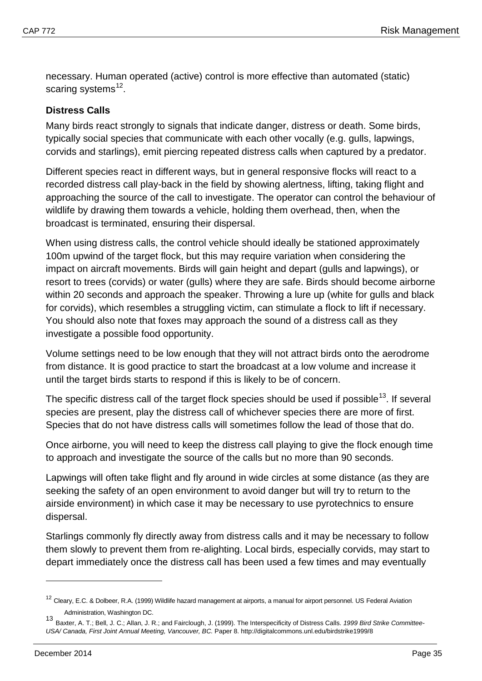necessary. Human operated (active) control is more effective than automated (static) scaring systems<sup>[12](#page-37-0)</sup>.

#### **Distress Calls**

Many birds react strongly to signals that indicate danger, distress or death. Some birds, typically social species that communicate with each other vocally (e.g. gulls, lapwings, corvids and starlings), emit piercing repeated distress calls when captured by a predator.

Different species react in different ways, but in general responsive flocks will react to a recorded distress call play-back in the field by showing alertness, lifting, taking flight and approaching the source of the call to investigate. The operator can control the behaviour of wildlife by drawing them towards a vehicle, holding them overhead, then, when the broadcast is terminated, ensuring their dispersal.

When using distress calls, the control vehicle should ideally be stationed approximately 100m upwind of the target flock, but this may require variation when considering the impact on aircraft movements. Birds will gain height and depart (gulls and lapwings), or resort to trees (corvids) or water (gulls) where they are safe. Birds should become airborne within 20 seconds and approach the speaker. Throwing a lure up (white for gulls and black for corvids), which resembles a struggling victim, can stimulate a flock to lift if necessary. You should also note that foxes may approach the sound of a distress call as they investigate a possible food opportunity.

Volume settings need to be low enough that they will not attract birds onto the aerodrome from distance. It is good practice to start the broadcast at a low volume and increase it until the target birds starts to respond if this is likely to be of concern.

The specific distress call of the target flock species should be used if possible<sup>[13](#page-37-1)</sup>. If several species are present, play the distress call of whichever species there are more of first. Species that do not have distress calls will sometimes follow the lead of those that do.

Once airborne, you will need to keep the distress call playing to give the flock enough time to approach and investigate the source of the calls but no more than 90 seconds.

Lapwings will often take flight and fly around in wide circles at some distance (as they are seeking the safety of an open environment to avoid danger but will try to return to the airside environment) in which case it may be necessary to use pyrotechnics to ensure dispersal.

Starlings commonly fly directly away from distress calls and it may be necessary to follow them slowly to prevent them from re-alighting. Local birds, especially corvids, may start to depart immediately once the distress call has been used a few times and may eventually

<span id="page-37-0"></span><sup>&</sup>lt;sup>12</sup> Cleary, E.C. & Dolbeer, R.A. (1999) Wildlife hazard management at airports, a manual for airport personnel. US Federal Aviation Administration, Washington DC.

<span id="page-37-1"></span><sup>13</sup> Baxter, A. T.; Bell, J. C.; Allan, J. R.; and Fairclough, J. (1999). The Interspecificity of Distress Calls. *1999 Bird Strike Committee-USA/ Canada, First Joint Annual Meeting, Vancouver, BC.* Paper 8. http://digitalcommons.unl.edu/birdstrike1999/8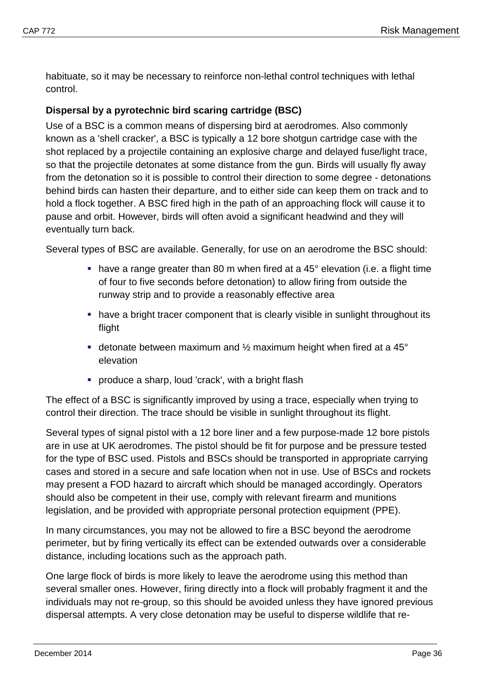habituate, so it may be necessary to reinforce non-lethal control techniques with lethal control.

## **Dispersal by a pyrotechnic bird scaring cartridge (BSC)**

Use of a BSC is a common means of dispersing bird at aerodromes. Also commonly known as a 'shell cracker', a BSC is typically a 12 bore shotgun cartridge case with the shot replaced by a projectile containing an explosive charge and delayed fuse/light trace, so that the projectile detonates at some distance from the gun. Birds will usually fly away from the detonation so it is possible to control their direction to some degree - detonations behind birds can hasten their departure, and to either side can keep them on track and to hold a flock together. A BSC fired high in the path of an approaching flock will cause it to pause and orbit. However, birds will often avoid a significant headwind and they will eventually turn back.

Several types of BSC are available. Generally, for use on an aerodrome the BSC should:

- have a range greater than 80 m when fired at a 45° elevation (i.e. a flight time of four to five seconds before detonation) to allow firing from outside the runway strip and to provide a reasonably effective area
- have a bright tracer component that is clearly visible in sunlight throughout its flight
- **detonate between maximum and**  $\frac{1}{2}$  maximum height when fired at a 45 $\degree$ elevation
- produce a sharp, loud 'crack', with a bright flash

The effect of a BSC is significantly improved by using a trace, especially when trying to control their direction. The trace should be visible in sunlight throughout its flight.

Several types of signal pistol with a 12 bore liner and a few purpose-made 12 bore pistols are in use at UK aerodromes. The pistol should be fit for purpose and be pressure tested for the type of BSC used. Pistols and BSCs should be transported in appropriate carrying cases and stored in a secure and safe location when not in use. Use of BSCs and rockets may present a FOD hazard to aircraft which should be managed accordingly. Operators should also be competent in their use, comply with relevant firearm and munitions legislation, and be provided with appropriate personal protection equipment (PPE).

In many circumstances, you may not be allowed to fire a BSC beyond the aerodrome perimeter, but by firing vertically its effect can be extended outwards over a considerable distance, including locations such as the approach path.

One large flock of birds is more likely to leave the aerodrome using this method than several smaller ones. However, firing directly into a flock will probably fragment it and the individuals may not re-group, so this should be avoided unless they have ignored previous dispersal attempts. A very close detonation may be useful to disperse wildlife that re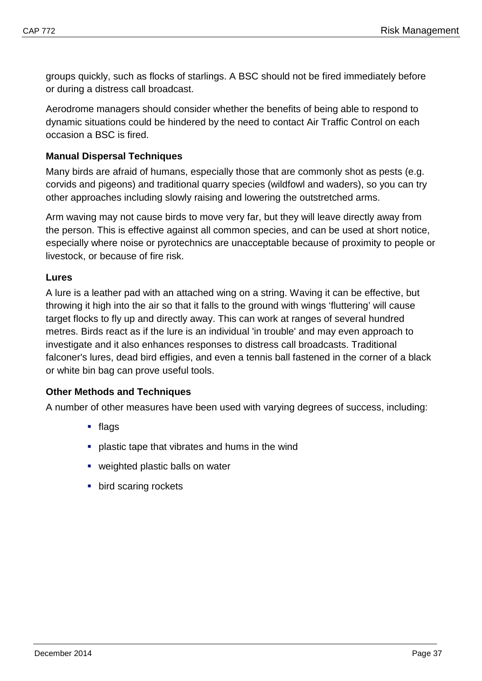groups quickly, such as flocks of starlings. A BSC should not be fired immediately before or during a distress call broadcast.

Aerodrome managers should consider whether the benefits of being able to respond to dynamic situations could be hindered by the need to contact Air Traffic Control on each occasion a BSC is fired.

#### **Manual Dispersal Techniques**

Many birds are afraid of humans, especially those that are commonly shot as pests (e.g. corvids and pigeons) and traditional quarry species (wildfowl and waders), so you can try other approaches including slowly raising and lowering the outstretched arms.

Arm waving may not cause birds to move very far, but they will leave directly away from the person. This is effective against all common species, and can be used at short notice, especially where noise or pyrotechnics are unacceptable because of proximity to people or livestock, or because of fire risk.

#### **Lures**

A lure is a leather pad with an attached wing on a string. Waving it can be effective, but throwing it high into the air so that it falls to the ground with wings 'fluttering' will cause target flocks to fly up and directly away. This can work at ranges of several hundred metres. Birds react as if the lure is an individual 'in trouble' and may even approach to investigate and it also enhances responses to distress call broadcasts. Traditional falconer's lures, dead bird effigies, and even a tennis ball fastened in the corner of a black or white bin bag can prove useful tools.

## **Other Methods and Techniques**

A number of other measures have been used with varying degrees of success, including:

- $\blacksquare$  flags
- **•** plastic tape that vibrates and hums in the wind
- **•** weighted plastic balls on water
- **bird scaring rockets**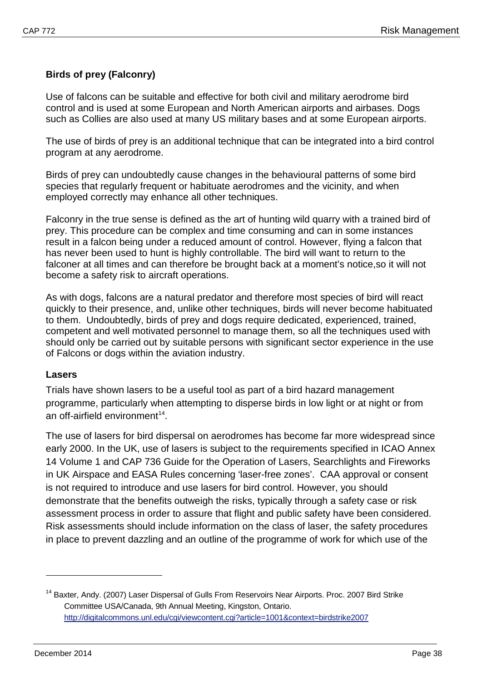## **Birds of prey (Falconry)**

Use of falcons can be suitable and effective for both civil and military aerodrome bird control and is used at some European and North American airports and airbases. Dogs such as Collies are also used at many US military bases and at some European airports.

The use of birds of prey is an additional technique that can be integrated into a bird control program at any aerodrome.

Birds of prey can undoubtedly cause changes in the behavioural patterns of some bird species that regularly frequent or habituate aerodromes and the vicinity, and when employed correctly may enhance all other techniques.

Falconry in the true sense is defined as the art of hunting wild quarry with a trained bird of prey. This procedure can be complex and time consuming and can in some instances result in a falcon being under a reduced amount of control. However, flying a falcon that has never been used to hunt is highly controllable. The bird will want to return to the falconer at all times and can therefore be brought back at a moment's notice,so it will not become a safety risk to aircraft operations.

As with dogs, falcons are a natural predator and therefore most species of bird will react quickly to their presence, and, unlike other techniques, birds will never become habituated to them. Undoubtedly, birds of prey and dogs require dedicated, experienced, trained, competent and well motivated personnel to manage them, so all the techniques used with should only be carried out by suitable persons with significant sector experience in the use of Falcons or dogs within the aviation industry.

#### **Lasers**

Trials have shown lasers to be a useful tool as part of a bird hazard management programme, particularly when attempting to disperse birds in low light or at night or from an off-airfield environment<sup>14</sup>.

The use of lasers for bird dispersal on aerodromes has become far more widespread since early 2000. In the UK, use of lasers is subject to the requirements specified in ICAO Annex 14 Volume 1 and CAP 736 Guide for the Operation of Lasers, Searchlights and Fireworks in UK Airspace and EASA Rules concerning 'laser-free zones'. CAA approval or consent is not required to introduce and use lasers for bird control. However, you should demonstrate that the benefits outweigh the risks, typically through a safety case or risk assessment process in order to assure that flight and public safety have been considered. Risk assessments should include information on the class of laser, the safety procedures in place to prevent dazzling and an outline of the programme of work for which use of the

<span id="page-40-0"></span><sup>&</sup>lt;sup>14</sup> Baxter, Andy. (2007) Laser Dispersal of Gulls From Reservoirs Near Airports. Proc. 2007 Bird Strike Committee USA/Canada, 9th Annual Meeting, Kingston, Ontario. <http://digitalcommons.unl.edu/cgi/viewcontent.cgi?article=1001&context=birdstrike2007>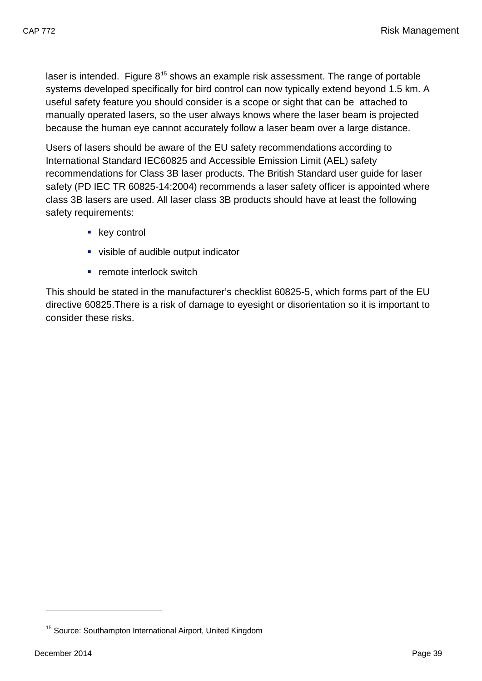laser is intended. Figure  $8^{15}$  $8^{15}$  $8^{15}$  shows an example risk assessment. The range of portable systems developed specifically for bird control can now typically extend beyond 1.5 km. A useful safety feature you should consider is a scope or sight that can be attached to manually operated lasers, so the user always knows where the laser beam is projected because the human eye cannot accurately follow a laser beam over a large distance.

Users of lasers should be aware of the EU safety recommendations according to International Standard IEC60825 and Accessible Emission Limit (AEL) safety recommendations for Class 3B laser products. The British Standard user guide for laser safety (PD IEC TR 60825-14:2004) recommends a laser safety officer is appointed where class 3B lasers are used. All laser class 3B products should have at least the following safety requirements:

- key control
- visible of audible output indicator
- **F** remote interlock switch

This should be stated in the manufacturer's checklist 60825-5, which forms part of the EU directive 60825.There is a risk of damage to eyesight or disorientation so it is important to consider these risks.

<span id="page-41-0"></span><sup>&</sup>lt;sup>15</sup> Source: Southampton International Airport, United Kingdom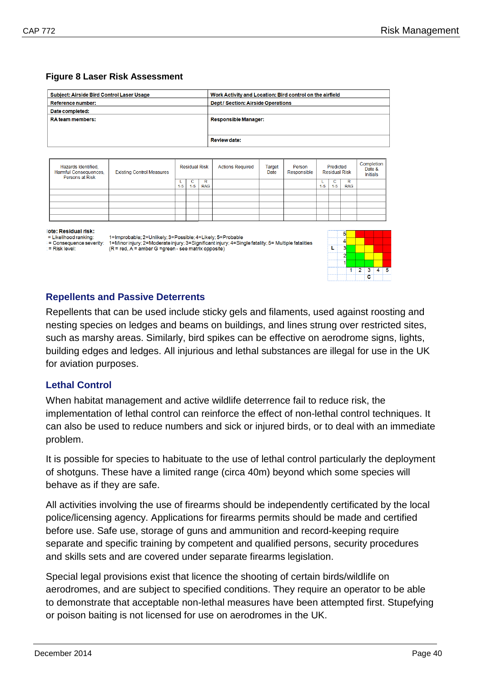#### **Figure 8 Laser Risk Assessment**

| Subject: Airside Bird Control Laser Usage | Work Activity and Location: Bird control on the airfield |
|-------------------------------------------|----------------------------------------------------------|
| <b>Reference number:</b>                  | <b>Dept / Section: Airside Operations</b>                |
| Date completed:                           |                                                          |
| <b>RA team members:</b>                   | <b>Responsible Manager:</b>                              |
|                                           |                                                          |
|                                           | <b>Review date:</b>                                      |

| Hazards Identified,<br>Harmful Consequences,<br>Persons at Risk | <b>Existing Control Measures</b> | <b>Residual Risk</b> |       |                 |  |  | <b>Actions Required</b> | Target<br>Date | Person<br>Responsible |                 | Predicted<br><b>Residual Risk</b> |  | Completion<br><b>Initials</b> |
|-----------------------------------------------------------------|----------------------------------|----------------------|-------|-----------------|--|--|-------------------------|----------------|-----------------------|-----------------|-----------------------------------|--|-------------------------------|
|                                                                 |                                  | $1 - 5$              | $1-5$ | R<br><b>RAG</b> |  |  |                         | $1 - 5$        | $1 - 5$               | R<br><b>RAG</b> |                                   |  |                               |
|                                                                 |                                  |                      |       |                 |  |  |                         |                |                       |                 |                                   |  |                               |
|                                                                 |                                  |                      |       |                 |  |  |                         |                |                       |                 |                                   |  |                               |
|                                                                 |                                  |                      |       |                 |  |  |                         |                |                       |                 |                                   |  |                               |
|                                                                 |                                  |                      |       |                 |  |  |                         |                |                       |                 |                                   |  |                               |
|                                                                 |                                  |                      |       |                 |  |  |                         |                |                       |                 |                                   |  |                               |

#### lote: Residual risk:

:= Risk level:

= Likelihood ranking: = Consequence severity:

1=Improbable; 2=Unlikely; 3=Possible; 4=Likely; 5=Probable<br>1=Minor injury; 2=Moderate injury; 3=Significant injury; 4=Single fatality; 5= Multiple fatalities (R = red, A = amber G = green - see matrix opposite)



#### <span id="page-42-0"></span>**Repellents and Passive Deterrents**

Repellents that can be used include sticky gels and filaments, used against roosting and nesting species on ledges and beams on buildings, and lines strung over restricted sites, such as marshy areas. Similarly, bird spikes can be effective on aerodrome signs, lights, building edges and ledges. All injurious and lethal substances are illegal for use in the UK for aviation purposes.

## <span id="page-42-1"></span>**Lethal Control**

When habitat management and active wildlife deterrence fail to reduce risk, the implementation of lethal control can reinforce the effect of non-lethal control techniques. It can also be used to reduce numbers and sick or injured birds, or to deal with an immediate problem.

It is possible for species to habituate to the use of lethal control particularly the deployment of shotguns. These have a limited range (circa 40m) beyond which some species will behave as if they are safe.

All activities involving the use of firearms should be independently certificated by the local police/licensing agency. Applications for firearms permits should be made and certified before use. Safe use, storage of guns and ammunition and record-keeping require separate and specific training by competent and qualified persons, security procedures and skills sets and are covered under separate firearms legislation.

Special legal provisions exist that licence the shooting of certain birds/wildlife on aerodromes, and are subject to specified conditions. They require an operator to be able to demonstrate that acceptable non-lethal measures have been attempted first. Stupefying or poison baiting is not licensed for use on aerodromes in the UK.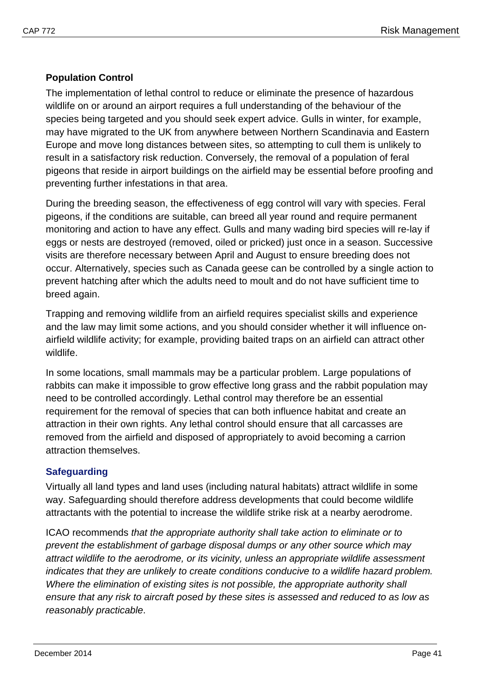## **Population Control**

The implementation of lethal control to reduce or eliminate the presence of hazardous wildlife on or around an airport requires a full understanding of the behaviour of the species being targeted and you should seek expert advice. Gulls in winter, for example, may have migrated to the UK from anywhere between Northern Scandinavia and Eastern Europe and move long distances between sites, so attempting to cull them is unlikely to result in a satisfactory risk reduction. Conversely, the removal of a population of feral pigeons that reside in airport buildings on the airfield may be essential before proofing and preventing further infestations in that area.

During the breeding season, the effectiveness of egg control will vary with species. Feral pigeons, if the conditions are suitable, can breed all year round and require permanent monitoring and action to have any effect. Gulls and many wading bird species will re-lay if eggs or nests are destroyed (removed, oiled or pricked) just once in a season. Successive visits are therefore necessary between April and August to ensure breeding does not occur. Alternatively, species such as Canada geese can be controlled by a single action to prevent hatching after which the adults need to moult and do not have sufficient time to breed again.

Trapping and removing wildlife from an airfield requires specialist skills and experience and the law may limit some actions, and you should consider whether it will influence onairfield wildlife activity; for example, providing baited traps on an airfield can attract other wildlife.

In some locations, small mammals may be a particular problem. Large populations of rabbits can make it impossible to grow effective long grass and the rabbit population may need to be controlled accordingly. Lethal control may therefore be an essential requirement for the removal of species that can both influence habitat and create an attraction in their own rights. Any lethal control should ensure that all carcasses are removed from the airfield and disposed of appropriately to avoid becoming a carrion attraction themselves.

## <span id="page-43-0"></span>**Safeguarding**

Virtually all land types and land uses (including natural habitats) attract wildlife in some way. Safeguarding should therefore address developments that could become wildlife attractants with the potential to increase the wildlife strike risk at a nearby aerodrome.

ICAO recommends *that the appropriate authority shall take action to eliminate or to prevent the establishment of garbage disposal dumps or any other source which may attract wildlife to the aerodrome, or its vicinity, unless an appropriate wildlife assessment indicates that they are unlikely to create conditions conducive to a wildlife hazard problem. Where the elimination of existing sites is not possible, the appropriate authority shall ensure that any risk to aircraft posed by these sites is assessed and reduced to as low as reasonably practicable*.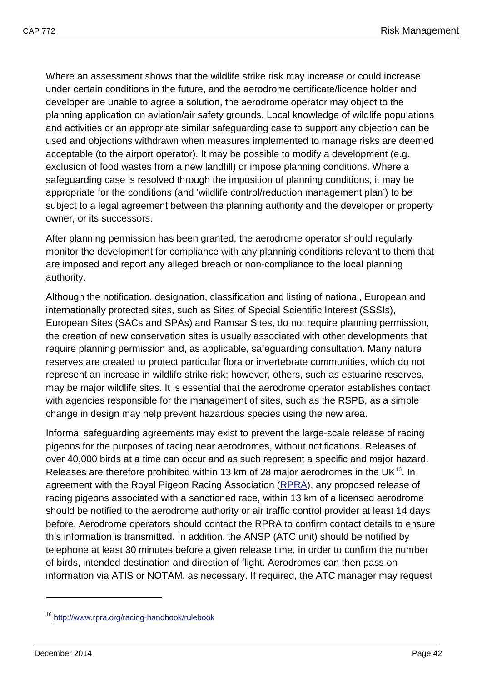Where an assessment shows that the wildlife strike risk may increase or could increase under certain conditions in the future, and the aerodrome certificate/licence holder and developer are unable to agree a solution, the aerodrome operator may object to the planning application on aviation/air safety grounds. Local knowledge of wildlife populations and activities or an appropriate similar safeguarding case to support any objection can be used and objections withdrawn when measures implemented to manage risks are deemed acceptable (to the airport operator). It may be possible to modify a development (e.g. exclusion of food wastes from a new landfill) or impose planning conditions. Where a safeguarding case is resolved through the imposition of planning conditions, it may be appropriate for the conditions (and 'wildlife control/reduction management plan') to be subject to a legal agreement between the planning authority and the developer or property owner, or its successors.

After planning permission has been granted, the aerodrome operator should regularly monitor the development for compliance with any planning conditions relevant to them that are imposed and report any alleged breach or non-compliance to the local planning authority.

Although the notification, designation, classification and listing of national, European and internationally protected sites, such as Sites of Special Scientific Interest (SSSIs), European Sites (SACs and SPAs) and Ramsar Sites, do not require planning permission, the creation of new conservation sites is usually associated with other developments that require planning permission and, as applicable, safeguarding consultation. Many nature reserves are created to protect particular flora or invertebrate communities, which do not represent an increase in wildlife strike risk; however, others, such as estuarine reserves, may be major wildlife sites. It is essential that the aerodrome operator establishes contact with agencies responsible for the management of sites, such as the RSPB, as a simple change in design may help prevent hazardous species using the new area.

Informal safeguarding agreements may exist to prevent the large-scale release of racing pigeons for the purposes of racing near aerodromes, without notifications. Releases of over 40,000 birds at a time can occur and as such represent a specific and major hazard. Releases are therefore prohibited within 13 km of 28 major aerodromes in the UK<sup>[16](#page-44-0)</sup>. In agreement with the Royal Pigeon Racing Association [\(RPRA\)](http://www.rpra.org/), any proposed release of racing pigeons associated with a sanctioned race, within 13 km of a licensed aerodrome should be notified to the aerodrome authority or air traffic control provider at least 14 days before. Aerodrome operators should contact the RPRA to confirm contact details to ensure this information is transmitted. In addition, the ANSP (ATC unit) should be notified by telephone at least 30 minutes before a given release time, in order to confirm the number of birds, intended destination and direction of flight. Aerodromes can then pass on information via ATIS or NOTAM, as necessary. If required, the ATC manager may request

<span id="page-44-0"></span><sup>16</sup> <http://www.rpra.org/racing-handbook/rulebook>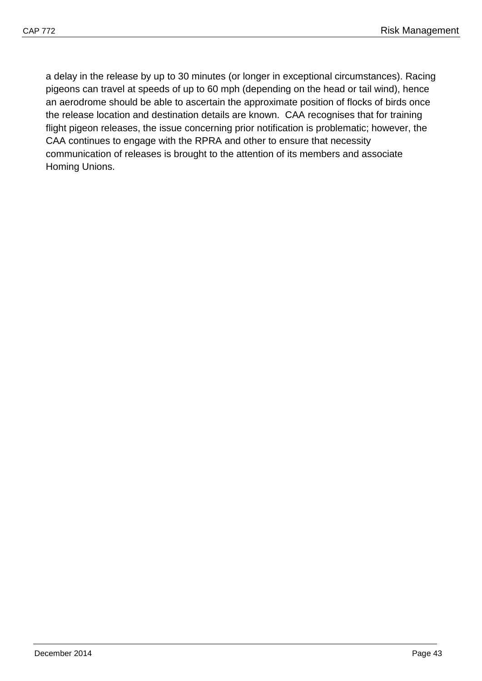a delay in the release by up to 30 minutes (or longer in exceptional circumstances). Racing pigeons can travel at speeds of up to 60 mph (depending on the head or tail wind), hence an aerodrome should be able to ascertain the approximate position of flocks of birds once the release location and destination details are known. CAA recognises that for training flight pigeon releases, the issue concerning prior notification is problematic; however, the CAA continues to engage with the RPRA and other to ensure that necessity communication of releases is brought to the attention of its members and associate Homing Unions.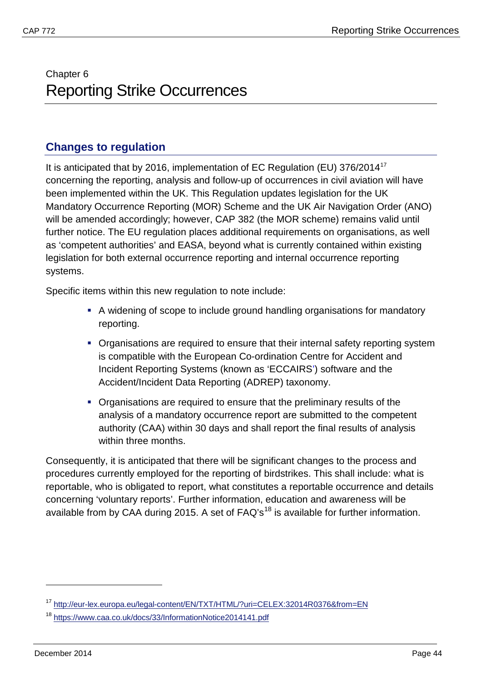# <span id="page-46-1"></span><span id="page-46-0"></span>Chapter 6 Reporting Strike Occurrences

## <span id="page-46-2"></span>**Changes to regulation**

It is anticipated that by 2016, implementation of EC Regulation (EU) 376/2014<sup>[17](#page-46-3)</sup> concerning the reporting, analysis and follow-up of occurrences in civil aviation will have been implemented within the UK. This Regulation updates legislation for the UK Mandatory Occurrence Reporting (MOR) Scheme and the UK Air Navigation Order (ANO) will be amended accordingly; however, CAP 382 (the MOR scheme) remains valid until further notice. The EU regulation places additional requirements on organisations, as well as 'competent authorities' and EASA, beyond what is currently contained within existing legislation for both external occurrence reporting and internal occurrence reporting systems.

Specific items within this new regulation to note include:

- A widening of scope to include ground handling organisations for mandatory reporting.
- **Organisations are required to ensure that their internal safety reporting system** is compatible with the European Co-ordination Centre for Accident and Incident Reporting Systems (known as 'ECCAIRS') software and the Accident/Incident Data Reporting (ADREP) taxonomy.
- Organisations are required to ensure that the preliminary results of the analysis of a mandatory occurrence report are submitted to the competent authority (CAA) within 30 days and shall report the final results of analysis within three months.

Consequently, it is anticipated that there will be significant changes to the process and procedures currently employed for the reporting of birdstrikes. This shall include: what is reportable, who is obligated to report, what constitutes a reportable occurrence and details concerning 'voluntary reports'. Further information, education and awareness will be available from by CAA during 2015. A set of  $FAQ's<sup>18</sup>$  $FAQ's<sup>18</sup>$  $FAQ's<sup>18</sup>$  is available for further information.

<span id="page-46-3"></span><sup>&</sup>lt;sup>17</sup> <http://eur-lex.europa.eu/legal-content/EN/TXT/HTML/?uri=CELEX:32014R0376&from=EN>

<span id="page-46-4"></span><sup>18</sup> <https://www.caa.co.uk/docs/33/InformationNotice2014141.pdf>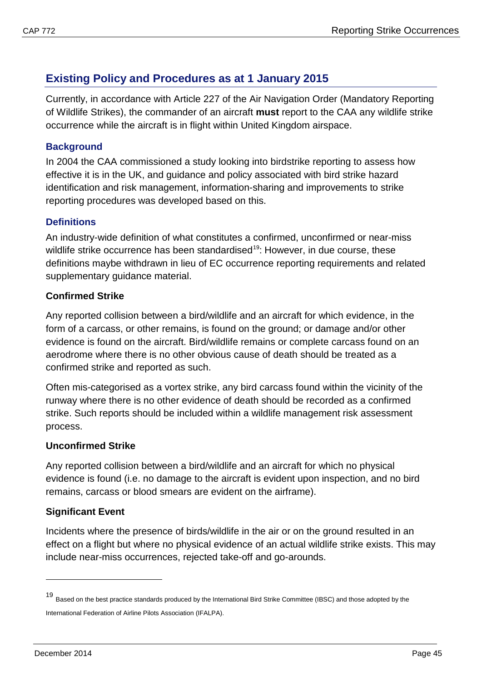## <span id="page-47-0"></span>**Existing Policy and Procedures as at 1 January 2015**

Currently, in accordance with Article 227 of the Air Navigation Order (Mandatory Reporting of Wildlife Strikes), the commander of an aircraft **must** report to the CAA any wildlife strike occurrence while the aircraft is in flight within United Kingdom airspace.

## <span id="page-47-1"></span>**Background**

In 2004 the CAA commissioned a study looking into birdstrike reporting to assess how effective it is in the UK, and guidance and policy associated with bird strike hazard identification and risk management, information-sharing and improvements to strike reporting procedures was developed based on this.

## <span id="page-47-2"></span>**Definitions**

An industry-wide definition of what constitutes a confirmed, unconfirmed or near-miss wildlife strike occurrence has been standardised<sup>[19](#page-47-3)</sup>: However, in due course, these definitions maybe withdrawn in lieu of EC occurrence reporting requirements and related supplementary guidance material.

## **Confirmed Strike**

Any reported collision between a bird/wildlife and an aircraft for which evidence, in the form of a carcass, or other remains, is found on the ground; or damage and/or other evidence is found on the aircraft. Bird/wildlife remains or complete carcass found on an aerodrome where there is no other obvious cause of death should be treated as a confirmed strike and reported as such.

Often mis-categorised as a vortex strike, any bird carcass found within the vicinity of the runway where there is no other evidence of death should be recorded as a confirmed strike. Such reports should be included within a wildlife management risk assessment process.

## **Unconfirmed Strike**

Any reported collision between a bird/wildlife and an aircraft for which no physical evidence is found (i.e. no damage to the aircraft is evident upon inspection, and no bird remains, carcass or blood smears are evident on the airframe).

## **Significant Event**

Incidents where the presence of birds/wildlife in the air or on the ground resulted in an effect on a flight but where no physical evidence of an actual wildlife strike exists. This may include near-miss occurrences, rejected take-off and go-arounds.

<span id="page-47-3"></span><sup>19</sup> Based on the best practice standards produced by the International Bird Strike Committee (IBSC) and those adopted by the International Federation of Airline Pilots Association (IFALPA).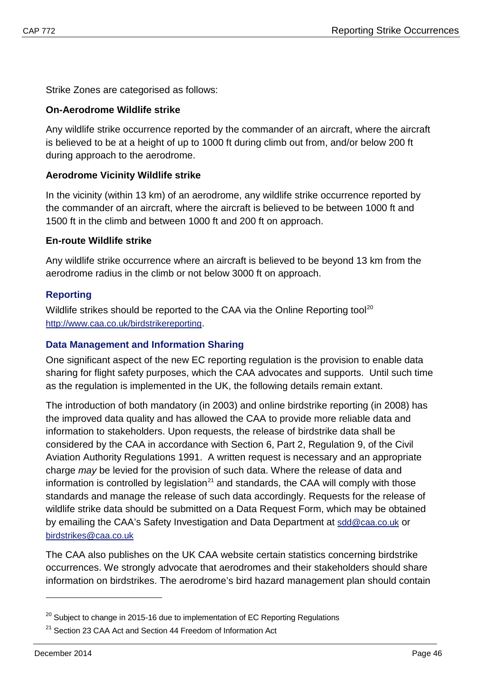Strike Zones are categorised as follows:

#### **On-Aerodrome Wildlife strike**

Any wildlife strike occurrence reported by the commander of an aircraft, where the aircraft is believed to be at a height of up to 1000 ft during climb out from, and/or below 200 ft during approach to the aerodrome.

## **Aerodrome Vicinity Wildlife strike**

In the vicinity (within 13 km) of an aerodrome, any wildlife strike occurrence reported by the commander of an aircraft, where the aircraft is believed to be between 1000 ft and 1500 ft in the climb and between 1000 ft and 200 ft on approach.

#### **En-route Wildlife strike**

Any wildlife strike occurrence where an aircraft is believed to be beyond 13 km from the aerodrome radius in the climb or not below 3000 ft on approach.

#### <span id="page-48-0"></span>**Reporting**

Wildlife strikes should be reported to the CAA via the Online Reporting tool<sup>[20](#page-48-2)</sup> [http://www.caa.co.uk/birdstrikereporting.](http://www.caa.co.uk/birdstrikereporting)

#### <span id="page-48-1"></span>**Data Management and Information Sharing**

One significant aspect of the new EC reporting regulation is the provision to enable data sharing for flight safety purposes, which the CAA advocates and supports. Until such time as the regulation is implemented in the UK, the following details remain extant.

The introduction of both mandatory (in 2003) and online birdstrike reporting (in 2008) has the improved data quality and has allowed the CAA to provide more reliable data and information to stakeholders. Upon requests, the release of birdstrike data shall be considered by the CAA in accordance with Section 6, Part 2, Regulation 9, of the Civil Aviation Authority Regulations 1991. A written request is necessary and an appropriate charge *may* be levied for the provision of such data. Where the release of data and information is controlled by legislation<sup>[21](#page-48-3)</sup> and standards, the CAA will comply with those standards and manage the release of such data accordingly. Requests for the release of wildlife strike data should be submitted on a Data Request Form, which may be obtained by emailing the CAA's Safety Investigation and Data Department at [sdd@caa.co.uk](mailto:sdd@caa.co.uk) or [birdstrikes@caa.co.uk](mailto:birdstrikes@caa.co.uk)

The CAA also publishes on the UK CAA website certain statistics concerning birdstrike occurrences. We strongly advocate that aerodromes and their stakeholders should share information on birdstrikes. The aerodrome's bird hazard management plan should contain

<span id="page-48-2"></span> $20$  Subject to change in 2015-16 due to implementation of EC Reporting Regulations

<span id="page-48-3"></span> $21$  Section 23 CAA Act and Section 44 Freedom of Information Act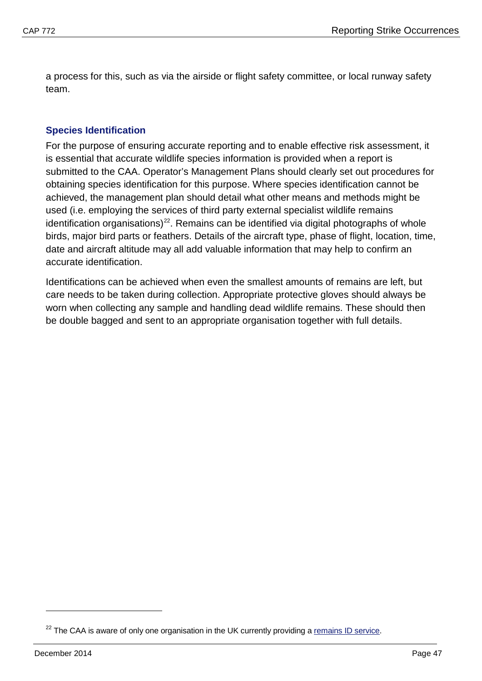a process for this, such as via the airside or flight safety committee, or local runway safety team.

## <span id="page-49-0"></span>**Species Identification**

For the purpose of ensuring accurate reporting and to enable effective risk assessment, it is essential that accurate wildlife species information is provided when a report is submitted to the CAA. Operator's Management Plans should clearly set out procedures for obtaining species identification for this purpose. Where species identification cannot be achieved, the management plan should detail what other means and methods might be used (i.e. employing the services of third party external specialist wildlife remains identification organisations)<sup>[22](#page-49-1)</sup>. Remains can be identified via digital photographs of whole birds, major bird parts or feathers. Details of the aircraft type, phase of flight, location, time, date and aircraft altitude may all add valuable information that may help to confirm an accurate identification.

Identifications can be achieved when even the smallest amounts of remains are left, but care needs to be taken during collection. Appropriate protective gloves should always be worn when collecting any sample and handling dead wildlife remains. These should then be double bagged and sent to an appropriate organisation together with full details.

<span id="page-49-1"></span> $22$  The CAA is aware of only one organisation in the UK currently providing a [remains ID service.](http://www.birdstrike.co.uk/#!remains-identification/c1syt)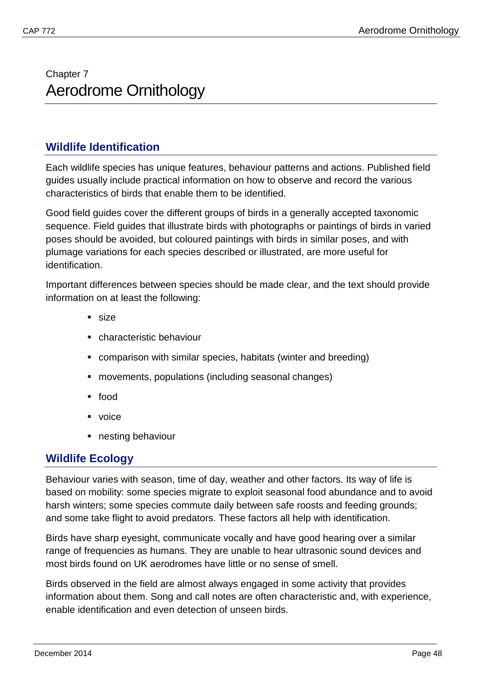# <span id="page-50-1"></span><span id="page-50-0"></span>Chapter 7 Aerodrome Ornithology

## <span id="page-50-2"></span>**Wildlife Identification**

Each wildlife species has unique features, behaviour patterns and actions. Published field guides usually include practical information on how to observe and record the various characteristics of birds that enable them to be identified.

Good field guides cover the different groups of birds in a generally accepted taxonomic sequence. Field guides that illustrate birds with photographs or paintings of birds in varied poses should be avoided, but coloured paintings with birds in similar poses, and with plumage variations for each species described or illustrated, are more useful for identification.

Important differences between species should be made clear, and the text should provide information on at least the following:

- size
- characteristic behaviour
- comparison with similar species, habitats (winter and breeding)
- movements, populations (including seasonal changes)
- food
- voice
- nesting behaviour

## <span id="page-50-3"></span>**Wildlife Ecology**

Behaviour varies with season, time of day, weather and other factors. Its way of life is based on mobility: some species migrate to exploit seasonal food abundance and to avoid harsh winters; some species commute daily between safe roosts and feeding grounds; and some take flight to avoid predators. These factors all help with identification.

Birds have sharp eyesight, communicate vocally and have good hearing over a similar range of frequencies as humans. They are unable to hear ultrasonic sound devices and most birds found on UK aerodromes have little or no sense of smell.

Birds observed in the field are almost always engaged in some activity that provides information about them. Song and call notes are often characteristic and, with experience, enable identification and even detection of unseen birds.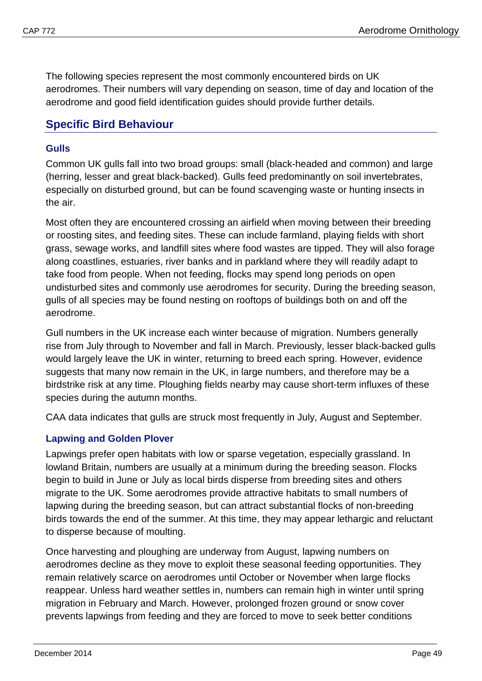The following species represent the most commonly encountered birds on UK aerodromes. Their numbers will vary depending on season, time of day and location of the aerodrome and good field identification guides should provide further details.

## <span id="page-51-0"></span>**Specific Bird Behaviour**

## <span id="page-51-1"></span>**Gulls**

Common UK gulls fall into two broad groups: small (black-headed and common) and large (herring, lesser and great black-backed). Gulls feed predominantly on soil invertebrates, especially on disturbed ground, but can be found scavenging waste or hunting insects in the air.

Most often they are encountered crossing an airfield when moving between their breeding or roosting sites, and feeding sites. These can include farmland, playing fields with short grass, sewage works, and landfill sites where food wastes are tipped. They will also forage along coastlines, estuaries, river banks and in parkland where they will readily adapt to take food from people. When not feeding, flocks may spend long periods on open undisturbed sites and commonly use aerodromes for security. During the breeding season, gulls of all species may be found nesting on rooftops of buildings both on and off the aerodrome.

Gull numbers in the UK increase each winter because of migration. Numbers generally rise from July through to November and fall in March. Previously, lesser black-backed gulls would largely leave the UK in winter, returning to breed each spring. However, evidence suggests that many now remain in the UK, in large numbers, and therefore may be a birdstrike risk at any time. Ploughing fields nearby may cause short-term influxes of these species during the autumn months.

CAA data indicates that gulls are struck most frequently in July, August and September.

## <span id="page-51-2"></span>**Lapwing and Golden Plover**

Lapwings prefer open habitats with low or sparse vegetation, especially grassland. In lowland Britain, numbers are usually at a minimum during the breeding season. Flocks begin to build in June or July as local birds disperse from breeding sites and others migrate to the UK. Some aerodromes provide attractive habitats to small numbers of lapwing during the breeding season, but can attract substantial flocks of non-breeding birds towards the end of the summer. At this time, they may appear lethargic and reluctant to disperse because of moulting.

Once harvesting and ploughing are underway from August, lapwing numbers on aerodromes decline as they move to exploit these seasonal feeding opportunities. They remain relatively scarce on aerodromes until October or November when large flocks reappear. Unless hard weather settles in, numbers can remain high in winter until spring migration in February and March. However, prolonged frozen ground or snow cover prevents lapwings from feeding and they are forced to move to seek better conditions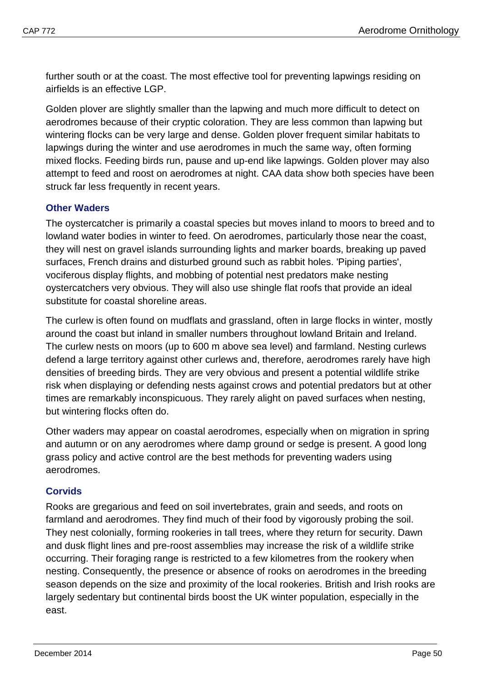further south or at the coast. The most effective tool for preventing lapwings residing on airfields is an effective LGP.

Golden plover are slightly smaller than the lapwing and much more difficult to detect on aerodromes because of their cryptic coloration. They are less common than lapwing but wintering flocks can be very large and dense. Golden plover frequent similar habitats to lapwings during the winter and use aerodromes in much the same way, often forming mixed flocks. Feeding birds run, pause and up-end like lapwings. Golden plover may also attempt to feed and roost on aerodromes at night. CAA data show both species have been struck far less frequently in recent years.

## <span id="page-52-0"></span>**Other Waders**

The oystercatcher is primarily a coastal species but moves inland to moors to breed and to lowland water bodies in winter to feed. On aerodromes, particularly those near the coast, they will nest on gravel islands surrounding lights and marker boards, breaking up paved surfaces, French drains and disturbed ground such as rabbit holes. 'Piping parties', vociferous display flights, and mobbing of potential nest predators make nesting oystercatchers very obvious. They will also use shingle flat roofs that provide an ideal substitute for coastal shoreline areas.

The curlew is often found on mudflats and grassland, often in large flocks in winter, mostly around the coast but inland in smaller numbers throughout lowland Britain and Ireland. The curlew nests on moors (up to 600 m above sea level) and farmland. Nesting curlews defend a large territory against other curlews and, therefore, aerodromes rarely have high densities of breeding birds. They are very obvious and present a potential wildlife strike risk when displaying or defending nests against crows and potential predators but at other times are remarkably inconspicuous. They rarely alight on paved surfaces when nesting, but wintering flocks often do.

Other waders may appear on coastal aerodromes, especially when on migration in spring and autumn or on any aerodromes where damp ground or sedge is present. A good long grass policy and active control are the best methods for preventing waders using aerodromes.

## <span id="page-52-1"></span>**Corvids**

Rooks are gregarious and feed on soil invertebrates, grain and seeds, and roots on farmland and aerodromes. They find much of their food by vigorously probing the soil. They nest colonially, forming rookeries in tall trees, where they return for security. Dawn and dusk flight lines and pre-roost assemblies may increase the risk of a wildlife strike occurring. Their foraging range is restricted to a few kilometres from the rookery when nesting. Consequently, the presence or absence of rooks on aerodromes in the breeding season depends on the size and proximity of the local rookeries. British and Irish rooks are largely sedentary but continental birds boost the UK winter population, especially in the east.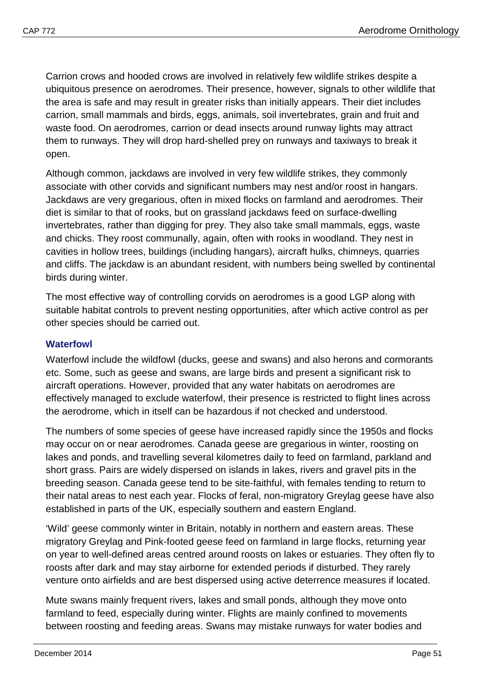Carrion crows and hooded crows are involved in relatively few wildlife strikes despite a ubiquitous presence on aerodromes. Their presence, however, signals to other wildlife that the area is safe and may result in greater risks than initially appears. Their diet includes carrion, small mammals and birds, eggs, animals, soil invertebrates, grain and fruit and waste food. On aerodromes, carrion or dead insects around runway lights may attract them to runways. They will drop hard-shelled prey on runways and taxiways to break it open.

Although common, jackdaws are involved in very few wildlife strikes, they commonly associate with other corvids and significant numbers may nest and/or roost in hangars. Jackdaws are very gregarious, often in mixed flocks on farmland and aerodromes. Their diet is similar to that of rooks, but on grassland jackdaws feed on surface-dwelling invertebrates, rather than digging for prey. They also take small mammals, eggs, waste and chicks. They roost communally, again, often with rooks in woodland. They nest in cavities in hollow trees, buildings (including hangars), aircraft hulks, chimneys, quarries and cliffs. The jackdaw is an abundant resident, with numbers being swelled by continental birds during winter.

The most effective way of controlling corvids on aerodromes is a good LGP along with suitable habitat controls to prevent nesting opportunities, after which active control as per other species should be carried out.

## <span id="page-53-0"></span>**Waterfowl**

Waterfowl include the wildfowl (ducks, geese and swans) and also herons and cormorants etc. Some, such as geese and swans, are large birds and present a significant risk to aircraft operations. However, provided that any water habitats on aerodromes are effectively managed to exclude waterfowl, their presence is restricted to flight lines across the aerodrome, which in itself can be hazardous if not checked and understood.

The numbers of some species of geese have increased rapidly since the 1950s and flocks may occur on or near aerodromes. Canada geese are gregarious in winter, roosting on lakes and ponds, and travelling several kilometres daily to feed on farmland, parkland and short grass. Pairs are widely dispersed on islands in lakes, rivers and gravel pits in the breeding season. Canada geese tend to be site-faithful, with females tending to return to their natal areas to nest each year. Flocks of feral, non-migratory Greylag geese have also established in parts of the UK, especially southern and eastern England.

'Wild' geese commonly winter in Britain, notably in northern and eastern areas. These migratory Greylag and Pink-footed geese feed on farmland in large flocks, returning year on year to well-defined areas centred around roosts on lakes or estuaries. They often fly to roosts after dark and may stay airborne for extended periods if disturbed. They rarely venture onto airfields and are best dispersed using active deterrence measures if located.

Mute swans mainly frequent rivers, lakes and small ponds, although they move onto farmland to feed, especially during winter. Flights are mainly confined to movements between roosting and feeding areas. Swans may mistake runways for water bodies and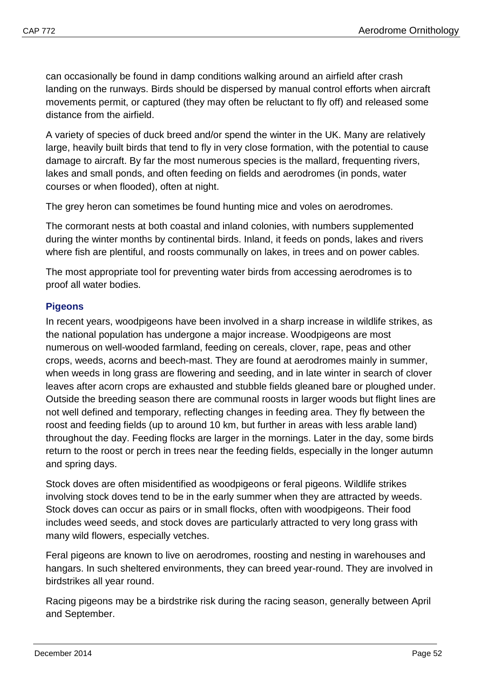can occasionally be found in damp conditions walking around an airfield after crash landing on the runways. Birds should be dispersed by manual control efforts when aircraft movements permit, or captured (they may often be reluctant to fly off) and released some distance from the airfield.

A variety of species of duck breed and/or spend the winter in the UK. Many are relatively large, heavily built birds that tend to fly in very close formation, with the potential to cause damage to aircraft. By far the most numerous species is the mallard, frequenting rivers, lakes and small ponds, and often feeding on fields and aerodromes (in ponds, water courses or when flooded), often at night.

The grey heron can sometimes be found hunting mice and voles on aerodromes.

The cormorant nests at both coastal and inland colonies, with numbers supplemented during the winter months by continental birds. Inland, it feeds on ponds, lakes and rivers where fish are plentiful, and roosts communally on lakes, in trees and on power cables.

The most appropriate tool for preventing water birds from accessing aerodromes is to proof all water bodies.

## <span id="page-54-0"></span>**Pigeons**

In recent years, woodpigeons have been involved in a sharp increase in wildlife strikes, as the national population has undergone a major increase. Woodpigeons are most numerous on well-wooded farmland, feeding on cereals, clover, rape, peas and other crops, weeds, acorns and beech-mast. They are found at aerodromes mainly in summer, when weeds in long grass are flowering and seeding, and in late winter in search of clover leaves after acorn crops are exhausted and stubble fields gleaned bare or ploughed under. Outside the breeding season there are communal roosts in larger woods but flight lines are not well defined and temporary, reflecting changes in feeding area. They fly between the roost and feeding fields (up to around 10 km, but further in areas with less arable land) throughout the day. Feeding flocks are larger in the mornings. Later in the day, some birds return to the roost or perch in trees near the feeding fields, especially in the longer autumn and spring days.

Stock doves are often misidentified as woodpigeons or feral pigeons. Wildlife strikes involving stock doves tend to be in the early summer when they are attracted by weeds. Stock doves can occur as pairs or in small flocks, often with woodpigeons. Their food includes weed seeds, and stock doves are particularly attracted to very long grass with many wild flowers, especially vetches.

Feral pigeons are known to live on aerodromes, roosting and nesting in warehouses and hangars. In such sheltered environments, they can breed year-round. They are involved in birdstrikes all year round.

Racing pigeons may be a birdstrike risk during the racing season, generally between April and September.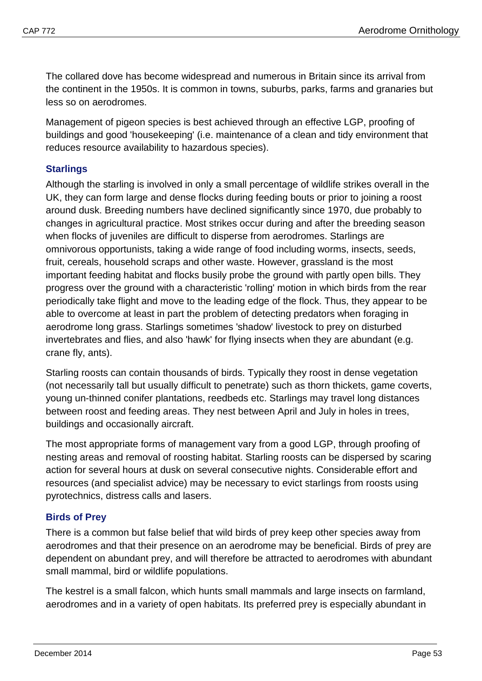The collared dove has become widespread and numerous in Britain since its arrival from the continent in the 1950s. It is common in towns, suburbs, parks, farms and granaries but less so on aerodromes.

Management of pigeon species is best achieved through an effective LGP, proofing of buildings and good 'housekeeping' (i.e. maintenance of a clean and tidy environment that reduces resource availability to hazardous species).

## <span id="page-55-0"></span>**Starlings**

Although the starling is involved in only a small percentage of wildlife strikes overall in the UK, they can form large and dense flocks during feeding bouts or prior to joining a roost around dusk. Breeding numbers have declined significantly since 1970, due probably to changes in agricultural practice. Most strikes occur during and after the breeding season when flocks of juveniles are difficult to disperse from aerodromes. Starlings are omnivorous opportunists, taking a wide range of food including worms, insects, seeds, fruit, cereals, household scraps and other waste. However, grassland is the most important feeding habitat and flocks busily probe the ground with partly open bills. They progress over the ground with a characteristic 'rolling' motion in which birds from the rear periodically take flight and move to the leading edge of the flock. Thus, they appear to be able to overcome at least in part the problem of detecting predators when foraging in aerodrome long grass. Starlings sometimes 'shadow' livestock to prey on disturbed invertebrates and flies, and also 'hawk' for flying insects when they are abundant (e.g. crane fly, ants).

Starling roosts can contain thousands of birds. Typically they roost in dense vegetation (not necessarily tall but usually difficult to penetrate) such as thorn thickets, game coverts, young un-thinned conifer plantations, reedbeds etc. Starlings may travel long distances between roost and feeding areas. They nest between April and July in holes in trees, buildings and occasionally aircraft.

The most appropriate forms of management vary from a good LGP, through proofing of nesting areas and removal of roosting habitat. Starling roosts can be dispersed by scaring action for several hours at dusk on several consecutive nights. Considerable effort and resources (and specialist advice) may be necessary to evict starlings from roosts using pyrotechnics, distress calls and lasers.

## <span id="page-55-1"></span>**Birds of Prey**

There is a common but false belief that wild birds of prey keep other species away from aerodromes and that their presence on an aerodrome may be beneficial. Birds of prey are dependent on abundant prey, and will therefore be attracted to aerodromes with abundant small mammal, bird or wildlife populations.

The kestrel is a small falcon, which hunts small mammals and large insects on farmland, aerodromes and in a variety of open habitats. Its preferred prey is especially abundant in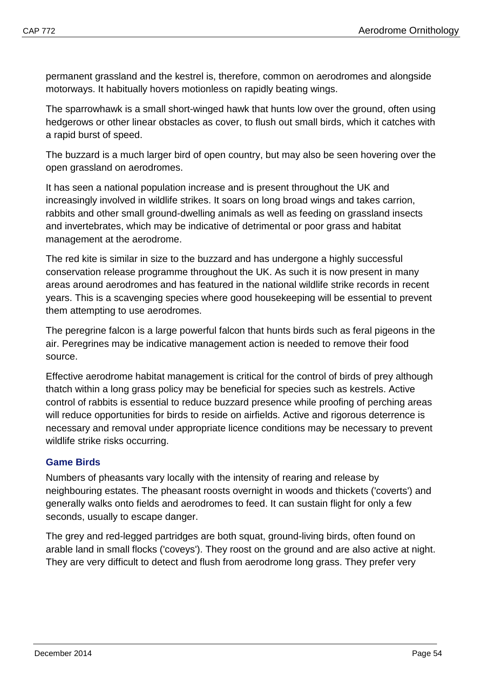permanent grassland and the kestrel is, therefore, common on aerodromes and alongside motorways. It habitually hovers motionless on rapidly beating wings.

The sparrowhawk is a small short-winged hawk that hunts low over the ground, often using hedgerows or other linear obstacles as cover, to flush out small birds, which it catches with a rapid burst of speed.

The buzzard is a much larger bird of open country, but may also be seen hovering over the open grassland on aerodromes.

It has seen a national population increase and is present throughout the UK and increasingly involved in wildlife strikes. It soars on long broad wings and takes carrion, rabbits and other small ground-dwelling animals as well as feeding on grassland insects and invertebrates, which may be indicative of detrimental or poor grass and habitat management at the aerodrome.

The red kite is similar in size to the buzzard and has undergone a highly successful conservation release programme throughout the UK. As such it is now present in many areas around aerodromes and has featured in the national wildlife strike records in recent years. This is a scavenging species where good housekeeping will be essential to prevent them attempting to use aerodromes.

The peregrine falcon is a large powerful falcon that hunts birds such as feral pigeons in the air. Peregrines may be indicative management action is needed to remove their food source.

Effective aerodrome habitat management is critical for the control of birds of prey although thatch within a long grass policy may be beneficial for species such as kestrels. Active control of rabbits is essential to reduce buzzard presence while proofing of perching areas will reduce opportunities for birds to reside on airfields. Active and rigorous deterrence is necessary and removal under appropriate licence conditions may be necessary to prevent wildlife strike risks occurring.

## <span id="page-56-0"></span>**Game Birds**

Numbers of pheasants vary locally with the intensity of rearing and release by neighbouring estates. The pheasant roosts overnight in woods and thickets ('coverts') and generally walks onto fields and aerodromes to feed. It can sustain flight for only a few seconds, usually to escape danger.

The grey and red-legged partridges are both squat, ground-living birds, often found on arable land in small flocks ('coveys'). They roost on the ground and are also active at night. They are very difficult to detect and flush from aerodrome long grass. They prefer very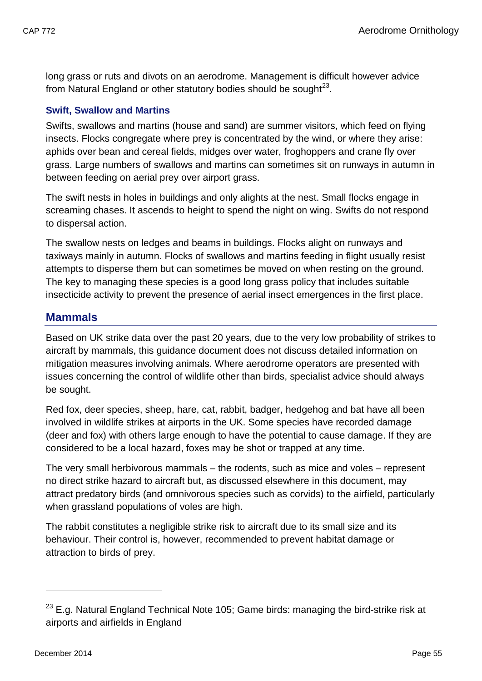long grass or ruts and divots on an aerodrome. Management is difficult however advice from Natural England or other statutory bodies should be sought $^{23}$ .

#### <span id="page-57-0"></span>**Swift, Swallow and Martins**

Swifts, swallows and martins (house and sand) are summer visitors, which feed on flying insects. Flocks congregate where prey is concentrated by the wind, or where they arise: aphids over bean and cereal fields, midges over water, froghoppers and crane fly over grass. Large numbers of swallows and martins can sometimes sit on runways in autumn in between feeding on aerial prey over airport grass.

The swift nests in holes in buildings and only alights at the nest. Small flocks engage in screaming chases. It ascends to height to spend the night on wing. Swifts do not respond to dispersal action.

The swallow nests on ledges and beams in buildings. Flocks alight on runways and taxiways mainly in autumn. Flocks of swallows and martins feeding in flight usually resist attempts to disperse them but can sometimes be moved on when resting on the ground. The key to managing these species is a good long grass policy that includes suitable insecticide activity to prevent the presence of aerial insect emergences in the first place.

## <span id="page-57-1"></span>**Mammals**

Based on UK strike data over the past 20 years, due to the very low probability of strikes to aircraft by mammals, this guidance document does not discuss detailed information on mitigation measures involving animals. Where aerodrome operators are presented with issues concerning the control of wildlife other than birds, specialist advice should always be sought.

Red fox, deer species, sheep, hare, cat, rabbit, badger, hedgehog and bat have all been involved in wildlife strikes at airports in the UK. Some species have recorded damage (deer and fox) with others large enough to have the potential to cause damage. If they are considered to be a local hazard, foxes may be shot or trapped at any time.

The very small herbivorous mammals – the rodents, such as mice and voles – represent no direct strike hazard to aircraft but, as discussed elsewhere in this document, may attract predatory birds (and omnivorous species such as corvids) to the airfield, particularly when grassland populations of voles are high.

The rabbit constitutes a negligible strike risk to aircraft due to its small size and its behaviour. Their control is, however, recommended to prevent habitat damage or attraction to birds of prey.

<span id="page-57-2"></span> $23$  E.g. Natural England Technical Note 105; Game birds: managing the bird-strike risk at airports and airfields in England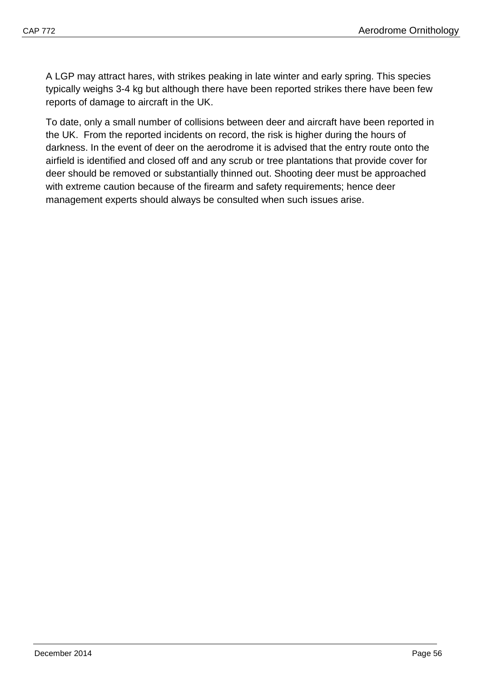A LGP may attract hares, with strikes peaking in late winter and early spring. This species typically weighs 3-4 kg but although there have been reported strikes there have been few reports of damage to aircraft in the UK.

To date, only a small number of collisions between deer and aircraft have been reported in the UK. From the reported incidents on record, the risk is higher during the hours of darkness. In the event of deer on the aerodrome it is advised that the entry route onto the airfield is identified and closed off and any scrub or tree plantations that provide cover for deer should be removed or substantially thinned out. Shooting deer must be approached with extreme caution because of the firearm and safety requirements; hence deer management experts should always be consulted when such issues arise.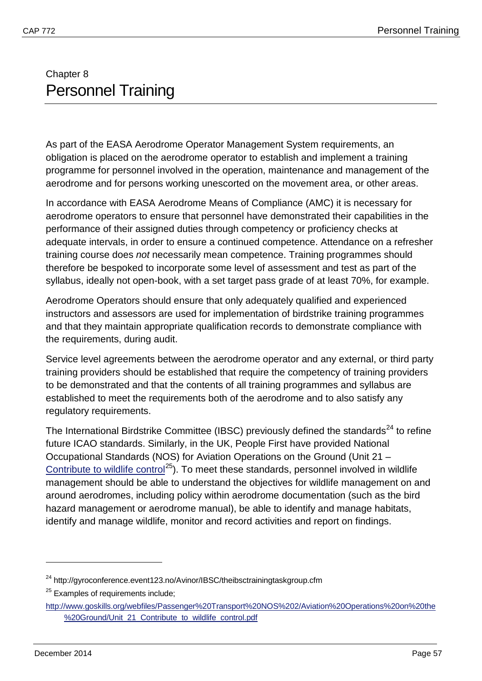# <span id="page-59-1"></span><span id="page-59-0"></span>Chapter 8 Personnel Training

As part of the EASA Aerodrome Operator Management System requirements, an obligation is placed on the aerodrome operator to establish and implement a training programme for personnel involved in the operation, maintenance and management of the aerodrome and for persons working unescorted on the movement area, or other areas.

In accordance with EASA Aerodrome Means of Compliance (AMC) it is necessary for aerodrome operators to ensure that personnel have demonstrated their capabilities in the performance of their assigned duties through competency or proficiency checks at adequate intervals, in order to ensure a continued competence. Attendance on a refresher training course does *not* necessarily mean competence. Training programmes should therefore be bespoked to incorporate some level of assessment and test as part of the syllabus, ideally not open-book, with a set target pass grade of at least 70%, for example.

Aerodrome Operators should ensure that only adequately qualified and experienced instructors and assessors are used for implementation of birdstrike training programmes and that they maintain appropriate qualification records to demonstrate compliance with the requirements, during audit.

Service level agreements between the aerodrome operator and any external, or third party training providers should be established that require the competency of training providers to be demonstrated and that the contents of all training programmes and syllabus are established to meet the requirements both of the aerodrome and to also satisfy any regulatory requirements.

The International Birdstrike Committee (IBSC) previously defined the standards<sup>[24](#page-59-2)</sup> to refine future ICAO standards. Similarly, in the UK, People First have provided National Occupational Standards (NOS) for Aviation Operations on the Ground (Unit 21 – [Contribute to wildlife control](http://www.people1st.co.uk/webfiles/Passenger%20Transport%20NOS%202/Aviation%20Operations%20on%20the%20Ground/Unit_21_Contribute_to_wildlife_control.pdf)<sup>[25](#page-59-3)</sup>). To meet these standards, personnel involved in wildlife management should be able to understand the objectives for wildlife management on and around aerodromes, including policy within aerodrome documentation (such as the bird hazard management or aerodrome manual), be able to identify and manage habitats, identify and manage wildlife, monitor and record activities and report on findings.

<span id="page-59-2"></span><sup>&</sup>lt;sup>24</sup> http://gyroconference.event123.no/Avinor/IBSC/theibsctrainingtaskgroup.cfm

<span id="page-59-3"></span><sup>&</sup>lt;sup>25</sup> Examples of requirements include;

[http://www.goskills.org/webfiles/Passenger%20Transport%20NOS%202/Aviation%20Operations%20on%20the](http://www.goskills.org/webfiles/Passenger%20Transport%20NOS%202/Aviation%20Operations%20on%20the%20Ground/Unit_21_Contribute_to_wildlife_control.pdf) [%20Ground/Unit\\_21\\_Contribute\\_to\\_wildlife\\_control.pdf](http://www.goskills.org/webfiles/Passenger%20Transport%20NOS%202/Aviation%20Operations%20on%20the%20Ground/Unit_21_Contribute_to_wildlife_control.pdf)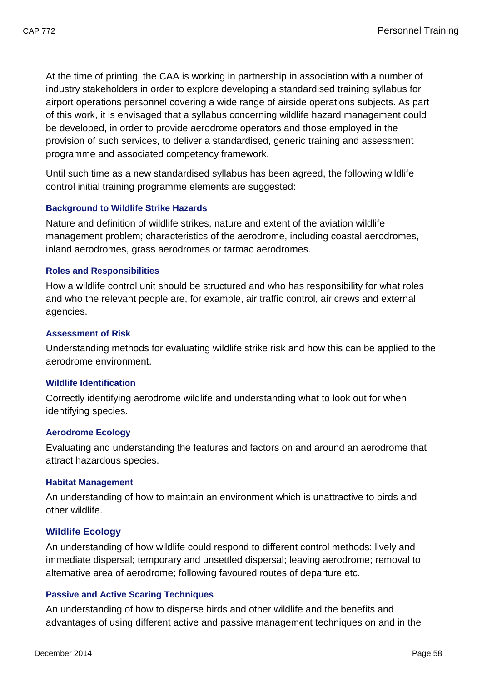At the time of printing, the CAA is working in partnership in association with a number of industry stakeholders in order to explore developing a standardised training syllabus for airport operations personnel covering a wide range of airside operations subjects. As part of this work, it is envisaged that a syllabus concerning wildlife hazard management could be developed, in order to provide aerodrome operators and those employed in the provision of such services, to deliver a standardised, generic training and assessment programme and associated competency framework.

Until such time as a new standardised syllabus has been agreed, the following wildlife control initial training programme elements are suggested:

#### <span id="page-60-0"></span>**Background to Wildlife Strike Hazards**

Nature and definition of wildlife strikes, nature and extent of the aviation wildlife management problem; characteristics of the aerodrome, including coastal aerodromes, inland aerodromes, grass aerodromes or tarmac aerodromes.

#### <span id="page-60-1"></span>**Roles and Responsibilities**

How a wildlife control unit should be structured and who has responsibility for what roles and who the relevant people are, for example, air traffic control, air crews and external agencies.

#### <span id="page-60-2"></span>**Assessment of Risk**

Understanding methods for evaluating wildlife strike risk and how this can be applied to the aerodrome environment.

#### <span id="page-60-3"></span>**Wildlife Identification**

Correctly identifying aerodrome wildlife and understanding what to look out for when identifying species.

#### <span id="page-60-4"></span>**Aerodrome Ecology**

Evaluating and understanding the features and factors on and around an aerodrome that attract hazardous species.

#### <span id="page-60-5"></span>**Habitat Management**

An understanding of how to maintain an environment which is unattractive to birds and other wildlife.

#### <span id="page-60-6"></span>**Wildlife Ecology**

An understanding of how wildlife could respond to different control methods: lively and immediate dispersal; temporary and unsettled dispersal; leaving aerodrome; removal to alternative area of aerodrome; following favoured routes of departure etc.

#### <span id="page-60-7"></span>**Passive and Active Scaring Techniques**

An understanding of how to disperse birds and other wildlife and the benefits and advantages of using different active and passive management techniques on and in the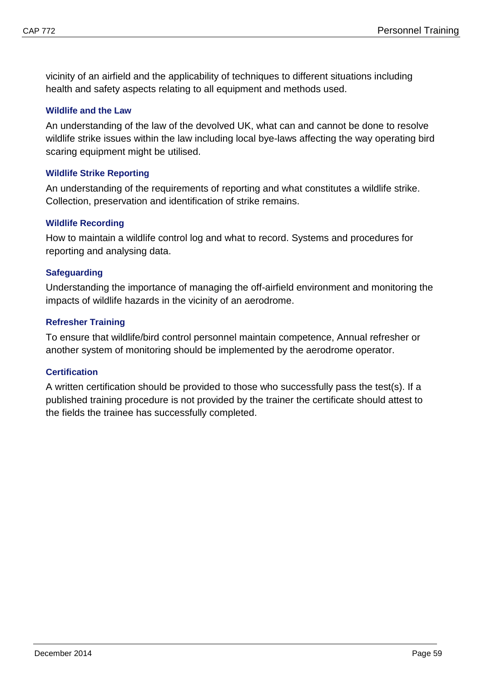vicinity of an airfield and the applicability of techniques to different situations including health and safety aspects relating to all equipment and methods used.

#### <span id="page-61-0"></span>**Wildlife and the Law**

An understanding of the law of the devolved UK, what can and cannot be done to resolve wildlife strike issues within the law including local bye-laws affecting the way operating bird scaring equipment might be utilised.

#### <span id="page-61-1"></span>**Wildlife Strike Reporting**

An understanding of the requirements of reporting and what constitutes a wildlife strike. Collection, preservation and identification of strike remains.

#### <span id="page-61-2"></span>**Wildlife Recording**

How to maintain a wildlife control log and what to record. Systems and procedures for reporting and analysing data.

#### <span id="page-61-3"></span>**Safeguarding**

Understanding the importance of managing the off-airfield environment and monitoring the impacts of wildlife hazards in the vicinity of an aerodrome.

#### <span id="page-61-4"></span>**Refresher Training**

To ensure that wildlife/bird control personnel maintain competence, Annual refresher or another system of monitoring should be implemented by the aerodrome operator.

#### <span id="page-61-5"></span>**Certification**

A written certification should be provided to those who successfully pass the test(s). If a published training procedure is not provided by the trainer the certificate should attest to the fields the trainee has successfully completed.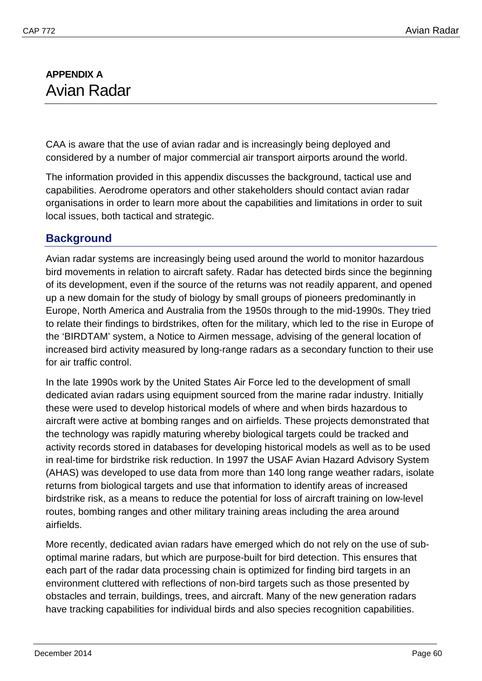# <span id="page-62-1"></span><span id="page-62-0"></span>**APPENDIX A** Avian Radar

CAA is aware that the use of avian radar and is increasingly being deployed and considered by a number of major commercial air transport airports around the world.

The information provided in this appendix discusses the background, tactical use and capabilities. Aerodrome operators and other stakeholders should contact avian radar organisations in order to learn more about the capabilities and limitations in order to suit local issues, both tactical and strategic.

## <span id="page-62-2"></span>**Background**

Avian radar systems are increasingly being used around the world to monitor hazardous bird movements in relation to aircraft safety. Radar has detected birds since the beginning of its development, even if the source of the returns was not readily apparent, and opened up a new domain for the study of biology by small groups of pioneers predominantly in Europe, North America and Australia from the 1950s through to the mid-1990s. They tried to relate their findings to birdstrikes, often for the military, which led to the rise in Europe of the 'BIRDTAM' system, a Notice to Airmen message, advising of the general location of increased bird activity measured by long-range radars as a secondary function to their use for air traffic control.

In the late 1990s work by the United States Air Force led to the development of small dedicated avian radars using equipment sourced from the marine radar industry. Initially these were used to develop historical models of where and when birds hazardous to aircraft were active at bombing ranges and on airfields. These projects demonstrated that the technology was rapidly maturing whereby biological targets could be tracked and activity records stored in databases for developing historical models as well as to be used in real-time for birdstrike risk reduction. In 1997 the USAF Avian Hazard Advisory System (AHAS) was developed to use data from more than 140 long range weather radars, isolate returns from biological targets and use that information to identify areas of increased birdstrike risk, as a means to reduce the potential for loss of aircraft training on low-level routes, bombing ranges and other military training areas including the area around airfields.

More recently, dedicated avian radars have emerged which do not rely on the use of suboptimal marine radars, but which are purpose-built for bird detection. This ensures that each part of the radar data processing chain is optimized for finding bird targets in an environment cluttered with reflections of non-bird targets such as those presented by obstacles and terrain, buildings, trees, and aircraft. Many of the new generation radars have tracking capabilities for individual birds and also species recognition capabilities.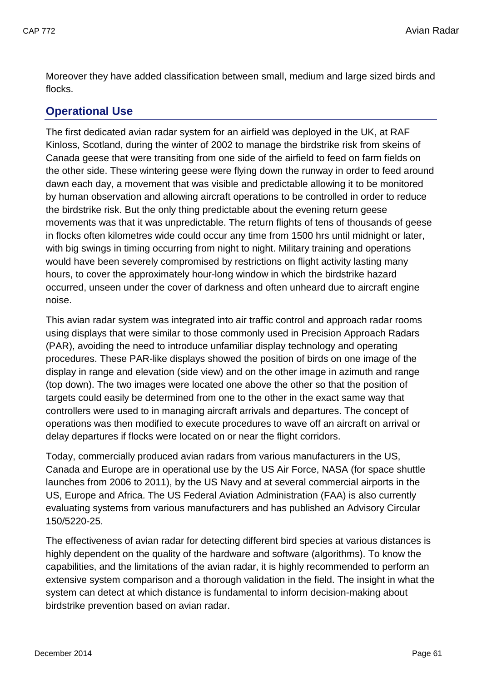Moreover they have added classification between small, medium and large sized birds and flocks.

## <span id="page-63-0"></span>**Operational Use**

The first dedicated avian radar system for an airfield was deployed in the UK, at RAF Kinloss, Scotland, during the winter of 2002 to manage the birdstrike risk from skeins of Canada geese that were transiting from one side of the airfield to feed on farm fields on the other side. These wintering geese were flying down the runway in order to feed around dawn each day, a movement that was visible and predictable allowing it to be monitored by human observation and allowing aircraft operations to be controlled in order to reduce the birdstrike risk. But the only thing predictable about the evening return geese movements was that it was unpredictable. The return flights of tens of thousands of geese in flocks often kilometres wide could occur any time from 1500 hrs until midnight or later, with big swings in timing occurring from night to night. Military training and operations would have been severely compromised by restrictions on flight activity lasting many hours, to cover the approximately hour-long window in which the birdstrike hazard occurred, unseen under the cover of darkness and often unheard due to aircraft engine noise.

This avian radar system was integrated into air traffic control and approach radar rooms using displays that were similar to those commonly used in Precision Approach Radars (PAR), avoiding the need to introduce unfamiliar display technology and operating procedures. These PAR-like displays showed the position of birds on one image of the display in range and elevation (side view) and on the other image in azimuth and range (top down). The two images were located one above the other so that the position of targets could easily be determined from one to the other in the exact same way that controllers were used to in managing aircraft arrivals and departures. The concept of operations was then modified to execute procedures to wave off an aircraft on arrival or delay departures if flocks were located on or near the flight corridors.

Today, commercially produced avian radars from various manufacturers in the US, Canada and Europe are in operational use by the US Air Force, NASA (for space shuttle launches from 2006 to 2011), by the US Navy and at several commercial airports in the US, Europe and Africa. The US Federal Aviation Administration (FAA) is also currently evaluating systems from various manufacturers and has published an [Advisory Circular](http://www.detect-inc.com/DeTect%20Downloads/FAA%20Advisory%20Circular%20150_5220_25%20Avian%20Radar%20Guidance%20101123.pdf)  [150/5220-25.](http://www.detect-inc.com/DeTect%20Downloads/FAA%20Advisory%20Circular%20150_5220_25%20Avian%20Radar%20Guidance%20101123.pdf)

The effectiveness of avian radar for detecting different bird species at various distances is highly dependent on the quality of the hardware and software (algorithms). To know the capabilities, and the limitations of the avian radar, it is highly recommended to perform an extensive system comparison and a thorough validation in the field. The insight in what the system can detect at which distance is fundamental to inform decision-making about birdstrike prevention based on avian radar.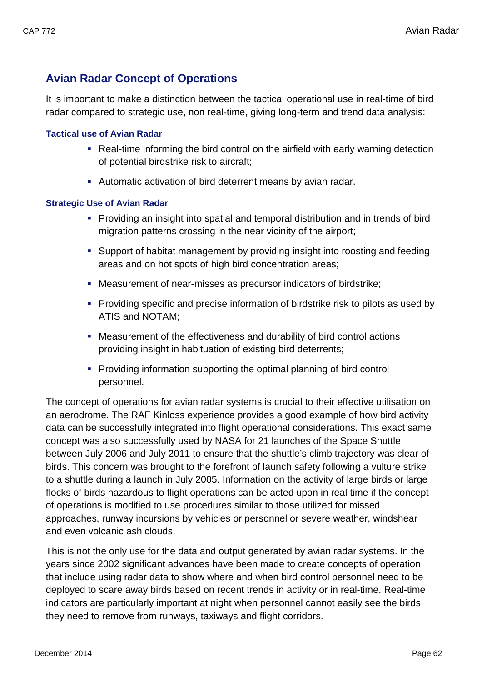# <span id="page-64-0"></span>**Avian Radar Concept of Operations**

It is important to make a distinction between the tactical operational use in real-time of bird radar compared to strategic use, non real-time, giving long-term and trend data analysis:

#### <span id="page-64-1"></span>**Tactical use of Avian Radar**

- Real-time informing the bird control on the airfield with early warning detection of potential birdstrike risk to aircraft;
- Automatic activation of bird deterrent means by avian radar.

#### <span id="page-64-2"></span>**Strategic Use of Avian Radar**

- Providing an insight into spatial and temporal distribution and in trends of bird migration patterns crossing in the near vicinity of the airport;
- Support of habitat management by providing insight into roosting and feeding areas and on hot spots of high bird concentration areas;
- Measurement of near-misses as precursor indicators of birdstrike;
- Providing specific and precise information of birdstrike risk to pilots as used by ATIS and NOTAM;
- Measurement of the effectiveness and durability of bird control actions providing insight in habituation of existing bird deterrents;
- Providing information supporting the optimal planning of bird control personnel.

The concept of operations for avian radar systems is crucial to their effective utilisation on an aerodrome. The RAF Kinloss experience provides a good example of how bird activity data can be successfully integrated into flight operational considerations. This exact same concept was also successfully used by NASA for 21 launches of the Space Shuttle between July 2006 and July 2011 to ensure that the shuttle's climb trajectory was clear of birds. This concern was brought to the forefront of launch safety following a vulture strike to a shuttle during a launch in July 2005. Information on the activity of large birds or large flocks of birds hazardous to flight operations can be acted upon in real time if the concept of operations is modified to use procedures similar to those utilized for missed approaches, runway incursions by vehicles or personnel or severe weather, windshear and even volcanic ash clouds.

This is not the only use for the data and output generated by avian radar systems. In the years since 2002 significant advances have been made to create concepts of operation that include using radar data to show where and when bird control personnel need to be deployed to scare away birds based on recent trends in activity or in real-time. Real-time indicators are particularly important at night when personnel cannot easily see the birds they need to remove from runways, taxiways and flight corridors.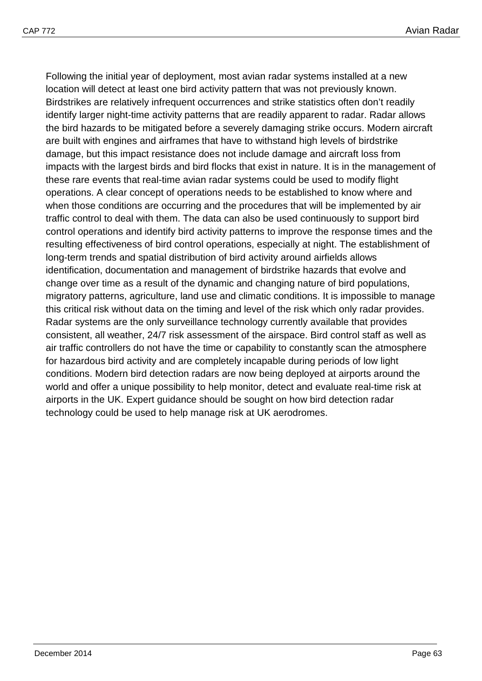Following the initial year of deployment, most avian radar systems installed at a new location will detect at least one bird activity pattern that was not previously known. Birdstrikes are relatively infrequent occurrences and strike statistics often don't readily identify larger night-time activity patterns that are readily apparent to radar. Radar allows the bird hazards to be mitigated before a severely damaging strike occurs. Modern aircraft are built with engines and airframes that have to withstand high levels of birdstrike damage, but this impact resistance does not include damage and aircraft loss from impacts with the largest birds and bird flocks that exist in nature. It is in the management of these rare events that real-time avian radar systems could be used to modify flight operations. A clear concept of operations needs to be established to know where and when those conditions are occurring and the procedures that will be implemented by air traffic control to deal with them. The data can also be used continuously to support bird control operations and identify bird activity patterns to improve the response times and the resulting effectiveness of bird control operations, especially at night. The establishment of long-term trends and spatial distribution of bird activity around airfields allows identification, documentation and management of birdstrike hazards that evolve and change over time as a result of the dynamic and changing nature of bird populations, migratory patterns, agriculture, land use and climatic conditions. It is impossible to manage this critical risk without data on the timing and level of the risk which only radar provides. Radar systems are the only surveillance technology currently available that provides consistent, all weather, 24/7 risk assessment of the airspace. Bird control staff as well as air traffic controllers do not have the time or capability to constantly scan the atmosphere for hazardous bird activity and are completely incapable during periods of low light conditions. Modern bird detection radars are now being deployed at airports around the world and offer a unique possibility to help monitor, detect and evaluate real-time risk at airports in the UK. Expert guidance should be sought on how bird detection radar technology could be used to help manage risk at UK aerodromes.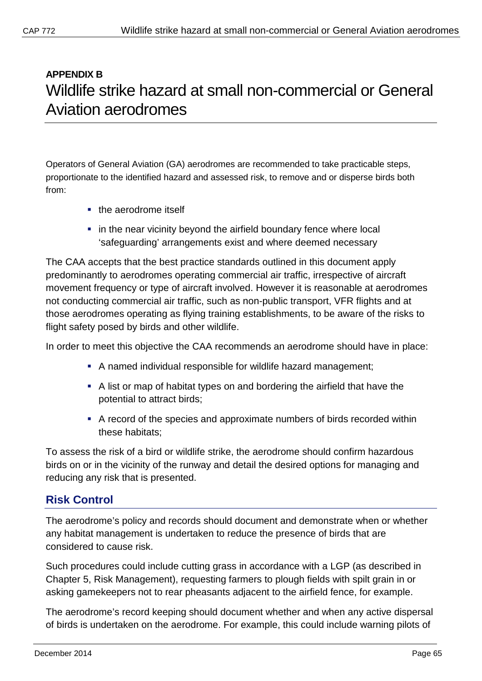# <span id="page-67-1"></span><span id="page-67-0"></span>**APPENDIX B** Wildlife strike hazard at small non-commercial or General Aviation aerodromes

Operators of General Aviation (GA) aerodromes are recommended to take practicable steps, proportionate to the identified hazard and assessed risk, to remove and or disperse birds both from:

- **the aerodrome itself**
- **EXTER 1** in the near vicinity beyond the airfield boundary fence where local 'safeguarding' arrangements exist and where deemed necessary

The CAA accepts that the best practice standards outlined in this document apply predominantly to aerodromes operating commercial air traffic, irrespective of aircraft movement frequency or type of aircraft involved. However it is reasonable at aerodromes not conducting commercial air traffic, such as non-public transport, VFR flights and at those aerodromes operating as flying training establishments, to be aware of the risks to flight safety posed by birds and other wildlife.

In order to meet this objective the CAA recommends an aerodrome should have in place:

- A named individual responsible for wildlife hazard management;
- A list or map of habitat types on and bordering the airfield that have the potential to attract birds;
- A record of the species and approximate numbers of birds recorded within these habitats;

To assess the risk of a bird or wildlife strike, the aerodrome should confirm hazardous birds on or in the vicinity of the runway and detail the desired options for managing and reducing any risk that is presented.

## <span id="page-67-2"></span>**Risk Control**

The aerodrome's policy and records should document and demonstrate when or whether any habitat management is undertaken to reduce the presence of birds that are considered to cause risk.

Such procedures could include cutting grass in accordance with a LGP (as described in Chapter 5, Risk Management), requesting farmers to plough fields with spilt grain in or asking gamekeepers not to rear pheasants adjacent to the airfield fence, for example.

The aerodrome's record keeping should document whether and when any active dispersal of birds is undertaken on the aerodrome. For example, this could include warning pilots of